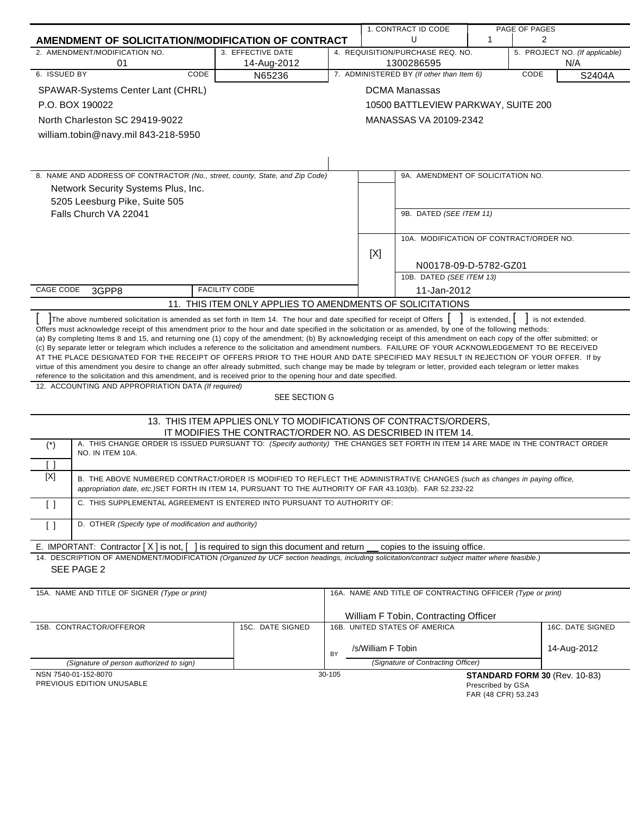|                                                                                                                                                                                                                                                                                                                                                                                                                                                                                                                                                                                                                                                                                                                                                                                                                                                                                                                                                                                                                                                      |                                                                                                                                                                                                                                        |                                                                  |        | 1. CONTRACT ID CODE |                                                            | PAGE OF PAGES                            |                                       |                  |
|------------------------------------------------------------------------------------------------------------------------------------------------------------------------------------------------------------------------------------------------------------------------------------------------------------------------------------------------------------------------------------------------------------------------------------------------------------------------------------------------------------------------------------------------------------------------------------------------------------------------------------------------------------------------------------------------------------------------------------------------------------------------------------------------------------------------------------------------------------------------------------------------------------------------------------------------------------------------------------------------------------------------------------------------------|----------------------------------------------------------------------------------------------------------------------------------------------------------------------------------------------------------------------------------------|------------------------------------------------------------------|--------|---------------------|------------------------------------------------------------|------------------------------------------|---------------------------------------|------------------|
|                                                                                                                                                                                                                                                                                                                                                                                                                                                                                                                                                                                                                                                                                                                                                                                                                                                                                                                                                                                                                                                      | AMENDMENT OF SOLICITATION/MODIFICATION OF CONTRACT                                                                                                                                                                                     |                                                                  |        |                     | U                                                          | $\mathbf 1$                              | 2                                     |                  |
|                                                                                                                                                                                                                                                                                                                                                                                                                                                                                                                                                                                                                                                                                                                                                                                                                                                                                                                                                                                                                                                      | 2. AMENDMENT/MODIFICATION NO.<br>01                                                                                                                                                                                                    | 3. EFFECTIVE DATE                                                |        |                     | 4. REQUISITION/PURCHASE REQ. NO.<br>1300286595             |                                          | 5. PROJECT NO. (If applicable)<br>N/A |                  |
| 6. ISSUED BY                                                                                                                                                                                                                                                                                                                                                                                                                                                                                                                                                                                                                                                                                                                                                                                                                                                                                                                                                                                                                                         | CODE                                                                                                                                                                                                                                   | 14-Aug-2012<br>N65236                                            |        |                     | 7. ADMINISTERED BY (If other than Item 6)                  |                                          | CODE                                  | S2404A           |
|                                                                                                                                                                                                                                                                                                                                                                                                                                                                                                                                                                                                                                                                                                                                                                                                                                                                                                                                                                                                                                                      | SPAWAR-Systems Center Lant (CHRL)                                                                                                                                                                                                      |                                                                  |        |                     | <b>DCMA Manassas</b>                                       |                                          |                                       |                  |
|                                                                                                                                                                                                                                                                                                                                                                                                                                                                                                                                                                                                                                                                                                                                                                                                                                                                                                                                                                                                                                                      | P.O. BOX 190022                                                                                                                                                                                                                        |                                                                  |        |                     | 10500 BATTLEVIEW PARKWAY, SUITE 200                        |                                          |                                       |                  |
|                                                                                                                                                                                                                                                                                                                                                                                                                                                                                                                                                                                                                                                                                                                                                                                                                                                                                                                                                                                                                                                      | North Charleston SC 29419-9022                                                                                                                                                                                                         |                                                                  |        |                     | MANASSAS VA 20109-2342                                     |                                          |                                       |                  |
|                                                                                                                                                                                                                                                                                                                                                                                                                                                                                                                                                                                                                                                                                                                                                                                                                                                                                                                                                                                                                                                      |                                                                                                                                                                                                                                        |                                                                  |        |                     |                                                            |                                          |                                       |                  |
|                                                                                                                                                                                                                                                                                                                                                                                                                                                                                                                                                                                                                                                                                                                                                                                                                                                                                                                                                                                                                                                      | william.tobin@navy.mil 843-218-5950                                                                                                                                                                                                    |                                                                  |        |                     |                                                            |                                          |                                       |                  |
|                                                                                                                                                                                                                                                                                                                                                                                                                                                                                                                                                                                                                                                                                                                                                                                                                                                                                                                                                                                                                                                      |                                                                                                                                                                                                                                        |                                                                  |        |                     |                                                            |                                          |                                       |                  |
|                                                                                                                                                                                                                                                                                                                                                                                                                                                                                                                                                                                                                                                                                                                                                                                                                                                                                                                                                                                                                                                      | 8. NAME AND ADDRESS OF CONTRACTOR (No., street, county, State, and Zip Code)                                                                                                                                                           |                                                                  |        |                     | 9A. AMENDMENT OF SOLICITATION NO.                          |                                          |                                       |                  |
|                                                                                                                                                                                                                                                                                                                                                                                                                                                                                                                                                                                                                                                                                                                                                                                                                                                                                                                                                                                                                                                      | Network Security Systems Plus, Inc.                                                                                                                                                                                                    |                                                                  |        |                     |                                                            |                                          |                                       |                  |
|                                                                                                                                                                                                                                                                                                                                                                                                                                                                                                                                                                                                                                                                                                                                                                                                                                                                                                                                                                                                                                                      | 5205 Leesburg Pike, Suite 505                                                                                                                                                                                                          |                                                                  |        |                     |                                                            |                                          |                                       |                  |
|                                                                                                                                                                                                                                                                                                                                                                                                                                                                                                                                                                                                                                                                                                                                                                                                                                                                                                                                                                                                                                                      | Falls Church VA 22041                                                                                                                                                                                                                  |                                                                  |        |                     | 9B. DATED (SEE ITEM 11)                                    |                                          |                                       |                  |
|                                                                                                                                                                                                                                                                                                                                                                                                                                                                                                                                                                                                                                                                                                                                                                                                                                                                                                                                                                                                                                                      |                                                                                                                                                                                                                                        |                                                                  |        |                     |                                                            |                                          |                                       |                  |
|                                                                                                                                                                                                                                                                                                                                                                                                                                                                                                                                                                                                                                                                                                                                                                                                                                                                                                                                                                                                                                                      |                                                                                                                                                                                                                                        |                                                                  |        |                     | 10A. MODIFICATION OF CONTRACT/ORDER NO.                    |                                          |                                       |                  |
|                                                                                                                                                                                                                                                                                                                                                                                                                                                                                                                                                                                                                                                                                                                                                                                                                                                                                                                                                                                                                                                      |                                                                                                                                                                                                                                        |                                                                  |        | [X]                 |                                                            |                                          |                                       |                  |
|                                                                                                                                                                                                                                                                                                                                                                                                                                                                                                                                                                                                                                                                                                                                                                                                                                                                                                                                                                                                                                                      |                                                                                                                                                                                                                                        |                                                                  |        |                     | N00178-09-D-5782-GZ01                                      |                                          |                                       |                  |
|                                                                                                                                                                                                                                                                                                                                                                                                                                                                                                                                                                                                                                                                                                                                                                                                                                                                                                                                                                                                                                                      |                                                                                                                                                                                                                                        |                                                                  |        |                     | 10B. DATED (SEE ITEM 13)                                   |                                          |                                       |                  |
| CAGE CODE                                                                                                                                                                                                                                                                                                                                                                                                                                                                                                                                                                                                                                                                                                                                                                                                                                                                                                                                                                                                                                            | 3GPP8                                                                                                                                                                                                                                  | <b>FACILITY CODE</b>                                             |        |                     | 11-Jan-2012                                                |                                          |                                       |                  |
|                                                                                                                                                                                                                                                                                                                                                                                                                                                                                                                                                                                                                                                                                                                                                                                                                                                                                                                                                                                                                                                      | 11. THIS ITEM ONLY APPLIES TO AMENDMENTS OF SOLICITATIONS                                                                                                                                                                              |                                                                  |        |                     |                                                            |                                          |                                       |                  |
| The above numbered solicitation is amended as set forth in Item 14. The hour and date specified for receipt of Offers<br>Offers must acknowledge receipt of this amendment prior to the hour and date specified in the solicitation or as amended, by one of the following methods:<br>(a) By completing Items 8 and 15, and returning one (1) copy of the amendment; (b) By acknowledging receipt of this amendment on each copy of the offer submitted; or<br>(c) By separate letter or telegram which includes a reference to the solicitation and amendment numbers. FAILURE OF YOUR ACKNOWLEDGEMENT TO BE RECEIVED<br>AT THE PLACE DESIGNATED FOR THE RECEIPT OF OFFERS PRIOR TO THE HOUR AND DATE SPECIFIED MAY RESULT IN REJECTION OF YOUR OFFER. If by<br>virtue of this amendment you desire to change an offer already submitted, such change may be made by telegram or letter, provided each telegram or letter makes<br>reference to the solicitation and this amendment, and is received prior to the opening hour and date specified. |                                                                                                                                                                                                                                        |                                                                  |        |                     |                                                            |                                          |                                       |                  |
|                                                                                                                                                                                                                                                                                                                                                                                                                                                                                                                                                                                                                                                                                                                                                                                                                                                                                                                                                                                                                                                      | 12. ACCOUNTING AND APPROPRIATION DATA (If required)                                                                                                                                                                                    | SEE SECTION G                                                    |        |                     |                                                            |                                          |                                       |                  |
|                                                                                                                                                                                                                                                                                                                                                                                                                                                                                                                                                                                                                                                                                                                                                                                                                                                                                                                                                                                                                                                      |                                                                                                                                                                                                                                        | 13. THIS ITEM APPLIES ONLY TO MODIFICATIONS OF CONTRACTS/ORDERS, |        |                     |                                                            |                                          |                                       |                  |
|                                                                                                                                                                                                                                                                                                                                                                                                                                                                                                                                                                                                                                                                                                                                                                                                                                                                                                                                                                                                                                                      |                                                                                                                                                                                                                                        | IT MODIFIES THE CONTRACT/ORDER NO. AS DESCRIBED IN ITEM 14.      |        |                     |                                                            |                                          |                                       |                  |
| $(*)$                                                                                                                                                                                                                                                                                                                                                                                                                                                                                                                                                                                                                                                                                                                                                                                                                                                                                                                                                                                                                                                | A. THIS CHANGE ORDER IS ISSUED PURSUANT TO: (Specify authority) THE CHANGES SET FORTH IN ITEM 14 ARE MADE IN THE CONTRACT ORDER<br>NO. IN ITEM 10A.                                                                                    |                                                                  |        |                     |                                                            |                                          |                                       |                  |
| Ιl                                                                                                                                                                                                                                                                                                                                                                                                                                                                                                                                                                                                                                                                                                                                                                                                                                                                                                                                                                                                                                                   |                                                                                                                                                                                                                                        |                                                                  |        |                     |                                                            |                                          |                                       |                  |
| [X]                                                                                                                                                                                                                                                                                                                                                                                                                                                                                                                                                                                                                                                                                                                                                                                                                                                                                                                                                                                                                                                  | B. THE ABOVE NUMBERED CONTRACT/ORDER IS MODIFIED TO REFLECT THE ADMINISTRATIVE CHANGES (such as changes in paying office,<br>appropriation date, etc.) SET FORTH IN ITEM 14, PURSUANT TO THE AUTHORITY OF FAR 43.103(b). FAR 52.232-22 |                                                                  |        |                     |                                                            |                                          |                                       |                  |
| $\Box$                                                                                                                                                                                                                                                                                                                                                                                                                                                                                                                                                                                                                                                                                                                                                                                                                                                                                                                                                                                                                                               | C. THIS SUPPLEMENTAL AGREEMENT IS ENTERED INTO PURSUANT TO AUTHORITY OF:                                                                                                                                                               |                                                                  |        |                     |                                                            |                                          |                                       |                  |
| $\left[ \begin{array}{c} \end{array} \right]$                                                                                                                                                                                                                                                                                                                                                                                                                                                                                                                                                                                                                                                                                                                                                                                                                                                                                                                                                                                                        | D. OTHER (Specify type of modification and authority)                                                                                                                                                                                  |                                                                  |        |                     |                                                            |                                          |                                       |                  |
|                                                                                                                                                                                                                                                                                                                                                                                                                                                                                                                                                                                                                                                                                                                                                                                                                                                                                                                                                                                                                                                      | E. IMPORTANT: Contractor $[X]$ is not, $[$ ] is required to sign this document and return                                                                                                                                              |                                                                  |        |                     | copies to the issuing office.                              |                                          |                                       |                  |
|                                                                                                                                                                                                                                                                                                                                                                                                                                                                                                                                                                                                                                                                                                                                                                                                                                                                                                                                                                                                                                                      | 14. DESCRIPTION OF AMENDMENT/MODIFICATION (Organized by UCF section headings, including solicitation/contract subject matter where feasible.)                                                                                          |                                                                  |        |                     |                                                            |                                          |                                       |                  |
|                                                                                                                                                                                                                                                                                                                                                                                                                                                                                                                                                                                                                                                                                                                                                                                                                                                                                                                                                                                                                                                      | SEE PAGE 2                                                                                                                                                                                                                             |                                                                  |        |                     |                                                            |                                          |                                       |                  |
|                                                                                                                                                                                                                                                                                                                                                                                                                                                                                                                                                                                                                                                                                                                                                                                                                                                                                                                                                                                                                                                      |                                                                                                                                                                                                                                        |                                                                  |        |                     |                                                            |                                          |                                       |                  |
|                                                                                                                                                                                                                                                                                                                                                                                                                                                                                                                                                                                                                                                                                                                                                                                                                                                                                                                                                                                                                                                      | 15A. NAME AND TITLE OF SIGNER (Type or print)                                                                                                                                                                                          |                                                                  |        |                     | 16A. NAME AND TITLE OF CONTRACTING OFFICER (Type or print) |                                          |                                       |                  |
|                                                                                                                                                                                                                                                                                                                                                                                                                                                                                                                                                                                                                                                                                                                                                                                                                                                                                                                                                                                                                                                      |                                                                                                                                                                                                                                        |                                                                  |        |                     | William F Tobin, Contracting Officer                       |                                          |                                       |                  |
|                                                                                                                                                                                                                                                                                                                                                                                                                                                                                                                                                                                                                                                                                                                                                                                                                                                                                                                                                                                                                                                      | 15B. CONTRACTOR/OFFEROR                                                                                                                                                                                                                | 15C. DATE SIGNED                                                 |        |                     | 16B. UNITED STATES OF AMERICA                              |                                          |                                       | 16C. DATE SIGNED |
|                                                                                                                                                                                                                                                                                                                                                                                                                                                                                                                                                                                                                                                                                                                                                                                                                                                                                                                                                                                                                                                      |                                                                                                                                                                                                                                        |                                                                  |        | /s/William F Tobin  |                                                            |                                          | 14-Aug-2012                           |                  |
|                                                                                                                                                                                                                                                                                                                                                                                                                                                                                                                                                                                                                                                                                                                                                                                                                                                                                                                                                                                                                                                      | (Signature of person authorized to sign)                                                                                                                                                                                               |                                                                  | BY     |                     | (Signature of Contracting Officer)                         |                                          |                                       |                  |
|                                                                                                                                                                                                                                                                                                                                                                                                                                                                                                                                                                                                                                                                                                                                                                                                                                                                                                                                                                                                                                                      | NSN 7540-01-152-8070<br>PREVIOUS EDITION UNUSABLE                                                                                                                                                                                      |                                                                  | 30-105 |                     |                                                            | Prescribed by GSA<br>FAR (48 CFR) 53.243 | <b>STANDARD FORM 30 (Rev. 10-83)</b>  |                  |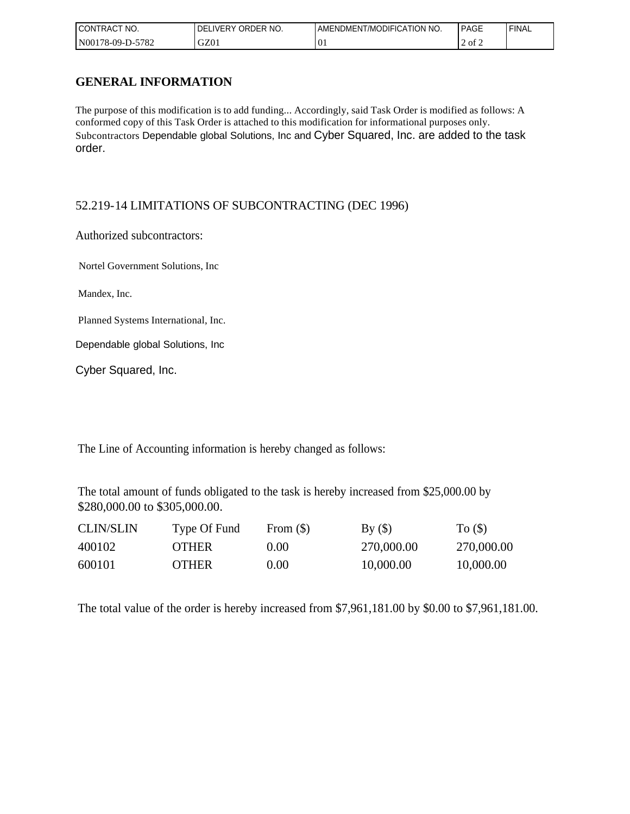| CONTRAC <sub>1</sub><br>NO.<br>$\sim$ | ORDER NO.<br>LIVERY<br>DFI | AMENDMENT/MODIFICATION NO.               | PAGE                | 'FINAL |
|---------------------------------------|----------------------------|------------------------------------------|---------------------|--------|
| -5782<br>  N00178-09-D-5'             | GZ01                       | $\curvearrowright$<br>$\cdot \mathbf{u}$ | $\sim$<br>ot 2<br>∸ |        |

### **GENERAL INFORMATION**

Subcontractors Dependable global Solutions, Inc and Cyber Squared, Inc. are added to the task order. The purpose of this modification is to add funding... Accordingly, said Task Order is modified as follows: A conformed copy of this Task Order is attached to this modification for informational purposes only.

### 52.219-14 LIMITATIONS OF SUBCONTRACTING (DEC 1996)

Authorized subcontractors:

Nortel Government Solutions, Inc

Mandex, Inc.

Planned Systems International, Inc.

Dependable global Solutions, Inc

Cyber Squared, Inc.

The Line of Accounting information is hereby changed as follows:

The total amount of funds obligated to the task is hereby increased from \$25,000.00 by \$280,000.00 to \$305,000.00.

| <b>CLIN/SLIN</b> | Type Of Fund | From $(\$)$ | By()       | To $($ )   |
|------------------|--------------|-------------|------------|------------|
| 400102           | <b>OTHER</b> | 0.001       | 270,000.00 | 270,000.00 |
| 600101           | <b>OTHER</b> | 0.00        | 10,000.00  | 10,000.00  |

The total value of the order is hereby increased from \$7,961,181.00 by \$0.00 to \$7,961,181.00.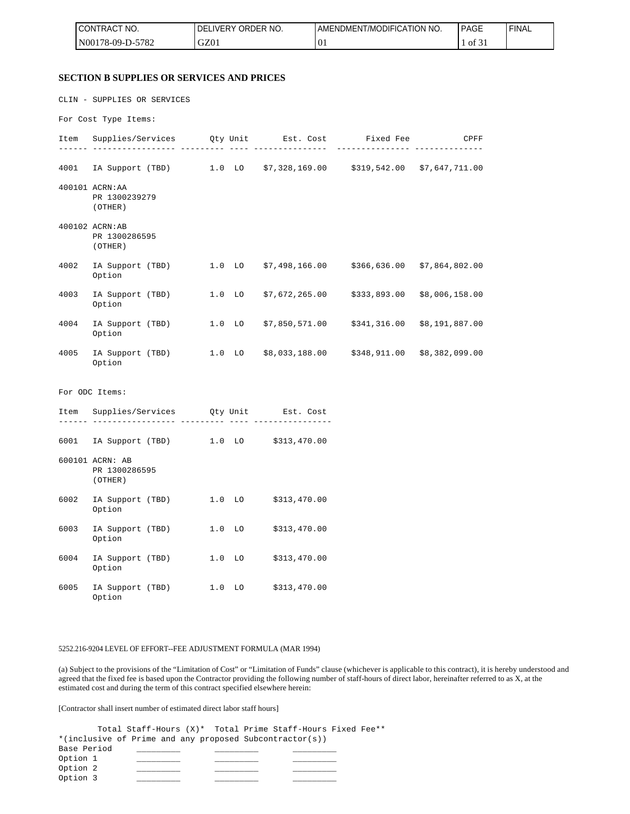| <b>CONTRACT NO.</b>                                 | NO.<br>ORDER<br><b>DELIVERY</b> | AMENDMENT/MODIFICATION NO. | <b>PAGE</b> | <b>FINAL</b> |
|-----------------------------------------------------|---------------------------------|----------------------------|-------------|--------------|
| 5782<br>$NO0178-09-D-5$<br>$\overline{\phantom{0}}$ | GZ01                            | U1.                        | 0131        |              |

#### **SECTION B SUPPLIES OR SERVICES AND PRICES**

CLIN - SUPPLIES OR SERVICES

For Cost Type Items:

|      | Item Supplies/Services Qty Unit Est. Cost Fixed Fee<br><u>-- --------- --</u> |                                               |              | CPFF           |
|------|-------------------------------------------------------------------------------|-----------------------------------------------|--------------|----------------|
| 4001 | IA Support (TBD) 1.0 LO \$7,328,169.00 \$319,542.00 \$7,647,711.00            |                                               |              |                |
|      | 400101 ACRN: AA<br>PR 1300239279<br>(OTHER)                                   |                                               |              |                |
|      | 400102 ACRN:AB<br>PR 1300286595<br>(OTHER)                                    |                                               |              |                |
| 4002 | IA Support (TBD) 1.0 LO \$7,498,166.00 \$366,636.00 \$7,864,802.00<br>Option  |                                               |              |                |
| 4003 | IA Support (TBD) 1.0 LO<br>Option                                             | $$7,672,265.00$ $$333,893.00$ $$8,006,158.00$ |              |                |
| 4004 | IA Support (TBD) 1.0 LO<br>Option                                             | \$7,850,571.00                                | \$341,316.00 | \$8,191,887.00 |
| 4005 | IA Support (TBD) 1.0 LO \$8,033,188.00 \$348,911.00 \$8,382,099.00<br>Option  |                                               |              |                |
|      | For ODC Items:                                                                |                                               |              |                |
| Item | Supplies/Services Qty Unit Est. Cost<br>-- ----------                         |                                               |              |                |
| 6001 | IA Support (TBD) 1.0 LO \$313,470.00                                          |                                               |              |                |
|      | 600101 ACRN: AB<br>PR 1300286595<br>(OTHER)                                   |                                               |              |                |
| 6002 | IA Support (TBD) 1.0 LO \$313,470.00<br>Option                                |                                               |              |                |
| 6003 | IA Support (TBD) 1.0 LO<br>Option                                             | \$313,470.00                                  |              |                |
| 6004 | IA Support (TBD) 1.0 LO<br>Option                                             | \$313,470.00                                  |              |                |

6005 IA Support (TBD) 1.0 LO \$313,470.00 Option

#### 5252.216-9204 LEVEL OF EFFORT--FEE ADJUSTMENT FORMULA (MAR 1994)

(a) Subject to the provisions of the "Limitation of Cost" or "Limitation of Funds" clause (whichever is applicable to this contract), it is hereby understood and agreed that the fixed fee is based upon the Contractor providing the following number of staff-hours of direct labor, hereinafter referred to as X, at the estimated cost and during the term of this contract specified elsewhere herein:

[Contractor shall insert number of estimated direct labor staff hours]

Total Staff-Hours (X)\* Total Prime Staff-Hours Fixed Fee\*\* \*(inclusive of Prime and any proposed Subcontractor(s)) Base Period \_\_\_\_ Option 1 \_\_\_\_\_\_\_\_\_ \_\_\_\_\_\_\_\_\_ \_\_\_\_\_\_\_\_\_ Option 2 \_\_\_\_\_\_\_\_\_ \_\_\_\_\_\_\_\_\_ \_\_\_\_\_\_\_\_\_ Option 3 \_\_\_\_\_\_\_\_\_ \_\_\_\_\_\_\_\_\_ \_\_\_\_\_\_\_\_\_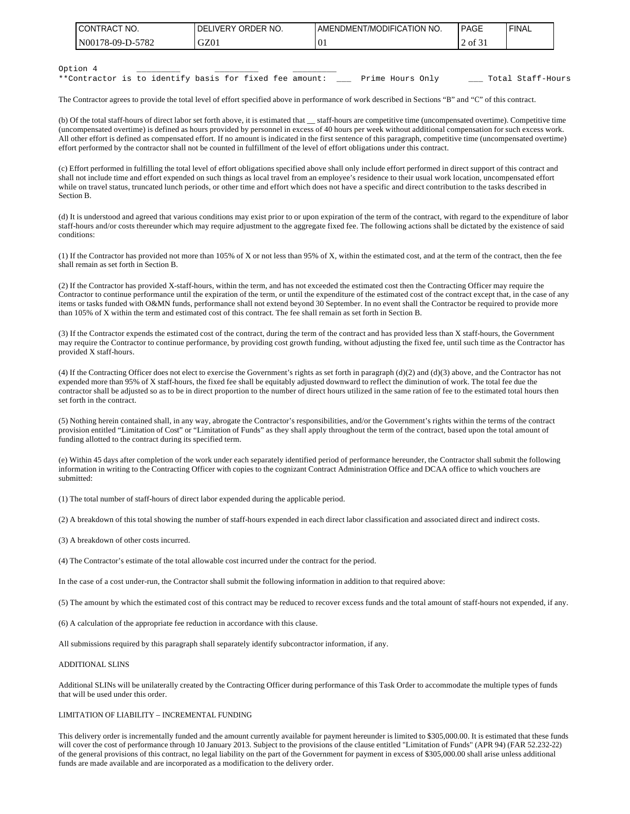| I CONTRACT NO.    | ORDER NO.<br><b>IDELIVERY</b> | I AMENDMENT/MODIFICATION NO. | PAGE | <b>FINAL</b> |
|-------------------|-------------------------------|------------------------------|------|--------------|
| IN00178-09-D-5782 | GZ01                          | . U.                         | 0t   |              |
|                   |                               |                              |      |              |

#### Option 4 \_\_\_\_\_\_\_\_\_ \_\_\_\_\_\_\_\_\_ \_\_\_\_\_\_\_\_\_

\*\*Contractor is to identify basis for fixed fee amount: \_\_\_ Prime Hours Only \_\_\_\_ Total Staff-Hours

The Contractor agrees to provide the total level of effort specified above in performance of work described in Sections "B" and "C" of this contract.

(b) Of the total staff-hours of direct labor set forth above, it is estimated that \_\_ staff-hours are competitive time (uncompensated overtime). Competitive time (uncompensated overtime) is defined as hours provided by personnel in excess of 40 hours per week without additional compensation for such excess work. All other effort is defined as compensated effort. If no amount is indicated in the first sentence of this paragraph, competitive time (uncompensated overtime) effort performed by the contractor shall not be counted in fulfillment of the level of effort obligations under this contract.

(c) Effort performed in fulfilling the total level of effort obligations specified above shall only include effort performed in direct support of this contract and shall not include time and effort expended on such things as local travel from an employee's residence to their usual work location, uncompensated effort while on travel status, truncated lunch periods, or other time and effort which does not have a specific and direct contribution to the tasks described in Section B.

(d) It is understood and agreed that various conditions may exist prior to or upon expiration of the term of the contract, with regard to the expenditure of labor staff-hours and/or costs thereunder which may require adjustment to the aggregate fixed fee. The following actions shall be dictated by the existence of said conditions:

(1) If the Contractor has provided not more than 105% of X or not less than 95% of X, within the estimated cost, and at the term of the contract, then the fee shall remain as set forth in Section B.

(2) If the Contractor has provided X-staff-hours, within the term, and has not exceeded the estimated cost then the Contracting Officer may require the Contractor to continue performance until the expiration of the term, or until the expenditure of the estimated cost of the contract except that, in the case of any items or tasks funded with O&MN funds, performance shall not extend beyond 30 September. In no event shall the Contractor be required to provide more than 105% of X within the term and estimated cost of this contract. The fee shall remain as set forth in Section B.

(3) If the Contractor expends the estimated cost of the contract, during the term of the contract and has provided less than X staff-hours, the Government may require the Contractor to continue performance, by providing cost growth funding, without adjusting the fixed fee, until such time as the Contractor has provided X staff-hours.

(4) If the Contracting Officer does not elect to exercise the Government's rights as set forth in paragraph (d)(2) and (d)(3) above, and the Contractor has not expended more than 95% of X staff-hours, the fixed fee shall be equitably adjusted downward to reflect the diminution of work. The total fee due the contractor shall be adjusted so as to be in direct proportion to the number of direct hours utilized in the same ration of fee to the estimated total hours then set forth in the contract.

(5) Nothing herein contained shall, in any way, abrogate the Contractor's responsibilities, and/or the Government's rights within the terms of the contract provision entitled "Limitation of Cost" or "Limitation of Funds" as they shall apply throughout the term of the contract, based upon the total amount of funding allotted to the contract during its specified term.

(e) Within 45 days after completion of the work under each separately identified period of performance hereunder, the Contractor shall submit the following information in writing to the Contracting Officer with copies to the cognizant Contract Administration Office and DCAA office to which vouchers are submitted:

(1) The total number of staff-hours of direct labor expended during the applicable period.

(2) A breakdown of this total showing the number of staff-hours expended in each direct labor classification and associated direct and indirect costs.

(3) A breakdown of other costs incurred.

(4) The Contractor's estimate of the total allowable cost incurred under the contract for the period.

In the case of a cost under-run, the Contractor shall submit the following information in addition to that required above:

(5) The amount by which the estimated cost of this contract may be reduced to recover excess funds and the total amount of staff-hours not expended, if any.

(6) A calculation of the appropriate fee reduction in accordance with this clause.

All submissions required by this paragraph shall separately identify subcontractor information, if any.

#### ADDITIONAL SLINS

Additional SLINs will be unilaterally created by the Contracting Officer during performance of this Task Order to accommodate the multiple types of funds that will be used under this order.

#### LIMITATION OF LIABILITY – INCREMENTAL FUNDING

This delivery order is incrementally funded and the amount currently available for payment hereunder is limited to \$305,000.00. It is estimated that these funds will cover the cost of performance through 10 January 2013. Subject to the provisions of the clause entitled "Limitation of Funds" (APR 94) (FAR 52.232-22) of the general provisions of this contract, no legal liability on the part of the Government for payment in excess of \$305,000.00 shall arise unless additional funds are made available and are incorporated as a modification to the delivery order.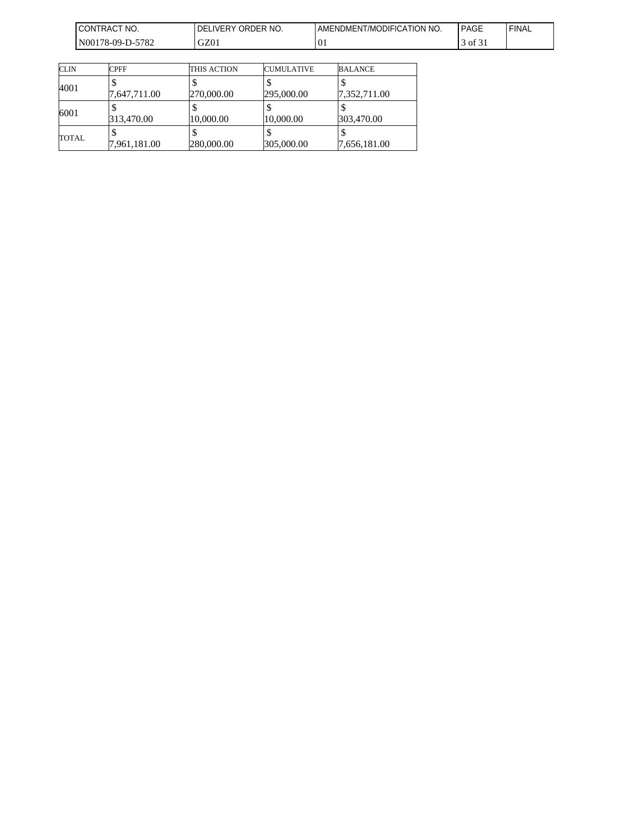| <b>I CONTRACT NO.</b> | ORDER NO.<br><b>DELIVERY</b> | AMENDMENT/MODIFICATION NO. | PAGE                                        | 'FINAL |
|-----------------------|------------------------------|----------------------------|---------------------------------------------|--------|
| N00178-09-D-5782      | GZ01                         | $^{10}$                    | $\mathbf{r}$<br>$\rightarrow$ 0.1 of $\sim$ |        |

| <b>CLIN</b>  | <b>CPFF</b>  | THIS ACTION | <b>CUMULATIVE</b> | <b>BALANCE</b> |
|--------------|--------------|-------------|-------------------|----------------|
| 4001         |              |             |                   |                |
|              | 7,647,711.00 | 270,000.00  | 295,000.00        | 7,352,711.00   |
| 6001         |              |             |                   |                |
|              | 313,470.00   | 10,000.00   | 10,000.00         | 303,470.00     |
| <b>TOTAL</b> |              |             |                   |                |
|              | 7,961,181.00 | 280,000.00  | 305,000.00        | 7,656,181.00   |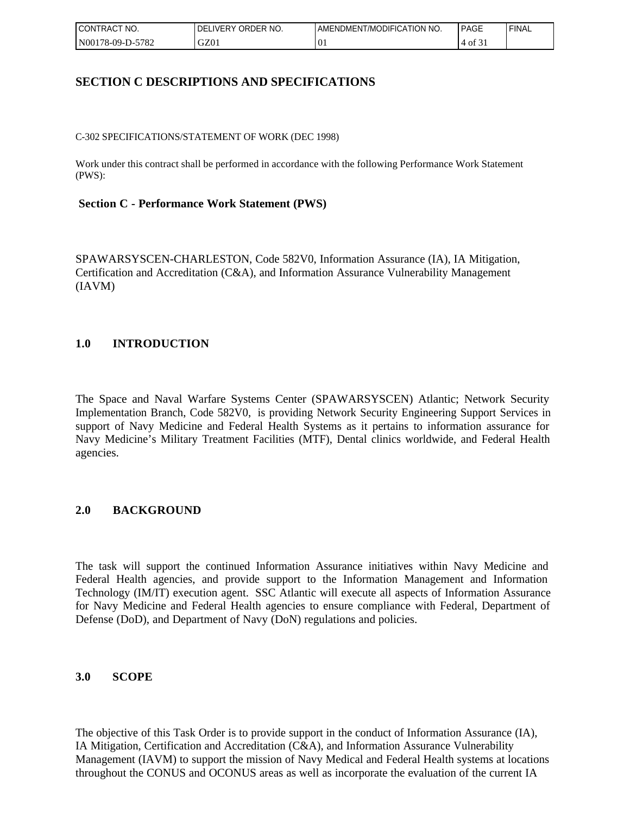| I CONTRACT<br>" NO. | ORDER NO.<br>LIVERY<br>DELI | <b>LAMENDMENT/MODIFICATION NO.</b> | PAGE  | 'FINAL |
|---------------------|-----------------------------|------------------------------------|-------|--------|
| N00178-09-D-5782    | GZ01                        | $\Omega$<br>U.                     | of 31 |        |

### **SECTION C DESCRIPTIONS AND SPECIFICATIONS**

C-302 SPECIFICATIONS/STATEMENT OF WORK (DEC 1998)

Work under this contract shall be performed in accordance with the following Performance Work Statement (PWS):

#### **Section C - Performance Work Statement (PWS)**

SPAWARSYSCEN-CHARLESTON, Code 582V0, Information Assurance (IA), IA Mitigation, Certification and Accreditation (C&A), and Information Assurance Vulnerability Management (IAVM)

### **1.0 INTRODUCTION**

The Space and Naval Warfare Systems Center (SPAWARSYSCEN) Atlantic; Network Security Implementation Branch, Code 582V0, is providing Network Security Engineering Support Services in support of Navy Medicine and Federal Health Systems as it pertains to information assurance for Navy Medicine's Military Treatment Facilities (MTF), Dental clinics worldwide, and Federal Health agencies.

### **2.0 BACKGROUND**

The task will support the continued Information Assurance initiatives within Navy Medicine and Federal Health agencies, and provide support to the Information Management and Information Technology (IM/IT) execution agent. SSC Atlantic will execute all aspects of Information Assurance for Navy Medicine and Federal Health agencies to ensure compliance with Federal, Department of Defense (DoD), and Department of Navy (DoN) regulations and policies.

#### **3.0 SCOPE**

The objective of this Task Order is to provide support in the conduct of Information Assurance (IA), IA Mitigation, Certification and Accreditation (C&A), and Information Assurance Vulnerability Management (IAVM) to support the mission of Navy Medical and Federal Health systems at locations throughout the CONUS and OCONUS areas as well as incorporate the evaluation of the current IA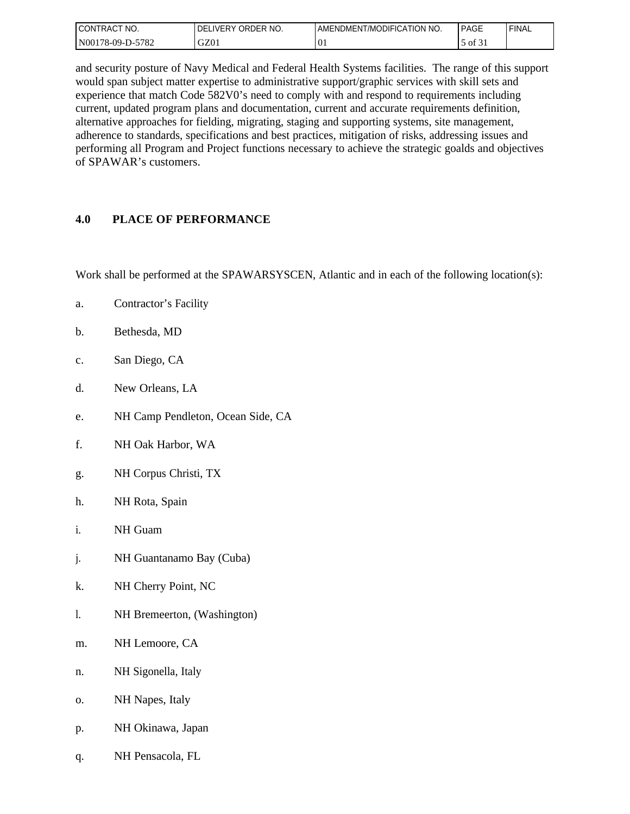| I CONTRACT<br>'NO. | I DELIVERY ORDER NO. | AMENDMENT/MODIFICATION NO. | PAGE                                   | <b>FINAL</b> |
|--------------------|----------------------|----------------------------|----------------------------------------|--------------|
| N00178-09-D-5782   | GZ01                 | $\overline{0}$             | $\sim$ $\sim$<br>ר of $\mathfrak{c}_1$ |              |

and security posture of Navy Medical and Federal Health Systems facilities. The range of this support would span subject matter expertise to administrative support/graphic services with skill sets and experience that match Code 582V0's need to comply with and respond to requirements including current, updated program plans and documentation, current and accurate requirements definition, alternative approaches for fielding, migrating, staging and supporting systems, site management, adherence to standards, specifications and best practices, mitigation of risks, addressing issues and performing all Program and Project functions necessary to achieve the strategic goalds and objectives of SPAWAR's customers.

### **4.0 PLACE OF PERFORMANCE**

Work shall be performed at the SPAWARSYSCEN, Atlantic and in each of the following location(s):

- a. Contractor's Facility
- b. Bethesda, MD
- c. San Diego, CA
- d. New Orleans, LA
- e. NH Camp Pendleton, Ocean Side, CA
- f. NH Oak Harbor, WA
- g. NH Corpus Christi, TX
- h. NH Rota, Spain
- i. NH Guam
- j. NH Guantanamo Bay (Cuba)
- k. NH Cherry Point, NC
- l. NH Bremeerton, (Washington)
- m. NH Lemoore, CA
- n. NH Sigonella, Italy
- o. NH Napes, Italy
- p. NH Okinawa, Japan
- q. NH Pensacola, FL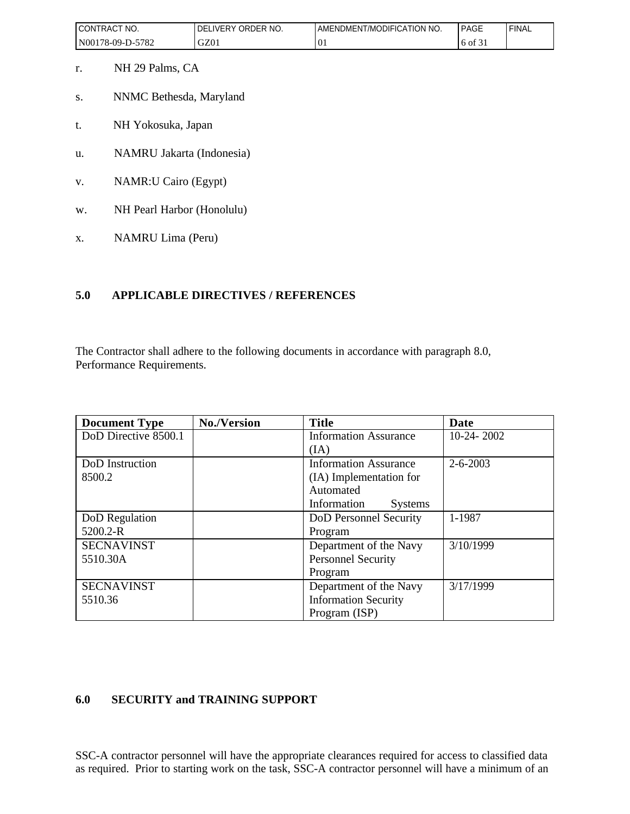| I CONTRACT<br>'NO. | ORDER NO.<br>_IVERY<br>DEL | AMENDMENT/MODIFICATION NO. | PAGE                     | 'FINAL |
|--------------------|----------------------------|----------------------------|--------------------------|--------|
| N00178-09-D-5782   | GZ01                       | $\Omega$<br>. v.           | $\sim$ $\sim$<br>6 of 31 |        |

- r. NH 29 Palms, CA
- s. NNMC Bethesda, Maryland
- t. NH Yokosuka, Japan
- u. NAMRU Jakarta (Indonesia)
- v. NAMR:U Cairo (Egypt)
- w. NH Pearl Harbor (Honolulu)
- x. NAMRU Lima (Peru)

### **5.0 APPLICABLE DIRECTIVES / REFERENCES**

The Contractor shall adhere to the following documents in accordance with paragraph 8.0, Performance Requirements.

| <b>Document Type</b> | <b>No./Version</b> | <b>Title</b>                  | Date           |
|----------------------|--------------------|-------------------------------|----------------|
| DoD Directive 8500.1 |                    | <b>Information Assurance</b>  | $10-24-2002$   |
|                      |                    | (IA)                          |                |
| DoD Instruction      |                    | <b>Information Assurance</b>  | $2 - 6 - 2003$ |
| 8500.2               |                    | (IA) Implementation for       |                |
|                      |                    | Automated                     |                |
|                      |                    | Information<br><b>Systems</b> |                |
| DoD Regulation       |                    | DoD Personnel Security        | 1-1987         |
| 5200.2-R             |                    | Program                       |                |
| <b>SECNAVINST</b>    |                    | Department of the Navy        | 3/10/1999      |
| 5510.30A             |                    | Personnel Security            |                |
|                      |                    | Program                       |                |
| <b>SECNAVINST</b>    |                    | Department of the Navy        | 3/17/1999      |
| 5510.36              |                    | <b>Information Security</b>   |                |
|                      |                    | Program (ISP)                 |                |

## **6.0 SECURITY and TRAINING SUPPORT**

SSC-A contractor personnel will have the appropriate clearances required for access to classified data as required. Prior to starting work on the task, SSC-A contractor personnel will have a minimum of an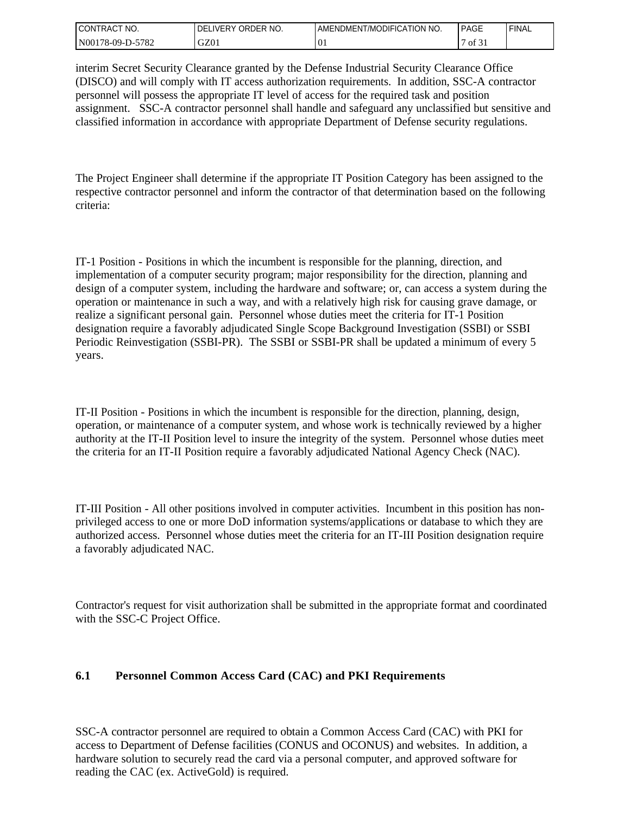| I CONTRACT<br>" NO. | ORDER NO.<br><b>LIVERY</b><br>DEL | AMENDMENT/MODIFICATION NO. | PAGE             | ' FINAL |
|---------------------|-----------------------------------|----------------------------|------------------|---------|
| N00178-09-D-5782    | GZ01                              | ' V.                       | $^{\circ}$ of 31 |         |

interim Secret Security Clearance granted by the Defense Industrial Security Clearance Office (DISCO) and will comply with IT access authorization requirements. In addition, SSC-A contractor personnel will possess the appropriate IT level of access for the required task and position assignment. SSC-A contractor personnel shall handle and safeguard any unclassified but sensitive and classified information in accordance with appropriate Department of Defense security regulations.

The Project Engineer shall determine if the appropriate IT Position Category has been assigned to the respective contractor personnel and inform the contractor of that determination based on the following criteria:

IT-1 Position - Positions in which the incumbent is responsible for the planning, direction, and implementation of a computer security program; major responsibility for the direction, planning and design of a computer system, including the hardware and software; or, can access a system during the operation or maintenance in such a way, and with a relatively high risk for causing grave damage, or realize a significant personal gain. Personnel whose duties meet the criteria for IT-1 Position designation require a favorably adjudicated Single Scope Background Investigation (SSBI) or SSBI Periodic Reinvestigation (SSBI-PR). The SSBI or SSBI-PR shall be updated a minimum of every 5 years.

IT-II Position - Positions in which the incumbent is responsible for the direction, planning, design, operation, or maintenance of a computer system, and whose work is technically reviewed by a higher authority at the IT-II Position level to insure the integrity of the system. Personnel whose duties meet the criteria for an IT-II Position require a favorably adjudicated National Agency Check (NAC).

IT-III Position - All other positions involved in computer activities. Incumbent in this position has nonprivileged access to one or more DoD information systems/applications or database to which they are authorized access. Personnel whose duties meet the criteria for an IT-III Position designation require a favorably adjudicated NAC.

Contractor's request for visit authorization shall be submitted in the appropriate format and coordinated with the SSC-C Project Office.

### **6.1 Personnel Common Access Card (CAC) and PKI Requirements**

SSC-A contractor personnel are required to obtain a Common Access Card (CAC) with PKI for access to Department of Defense facilities (CONUS and OCONUS) and websites. In addition, a hardware solution to securely read the card via a personal computer, and approved software for reading the CAC (ex. ActiveGold) is required.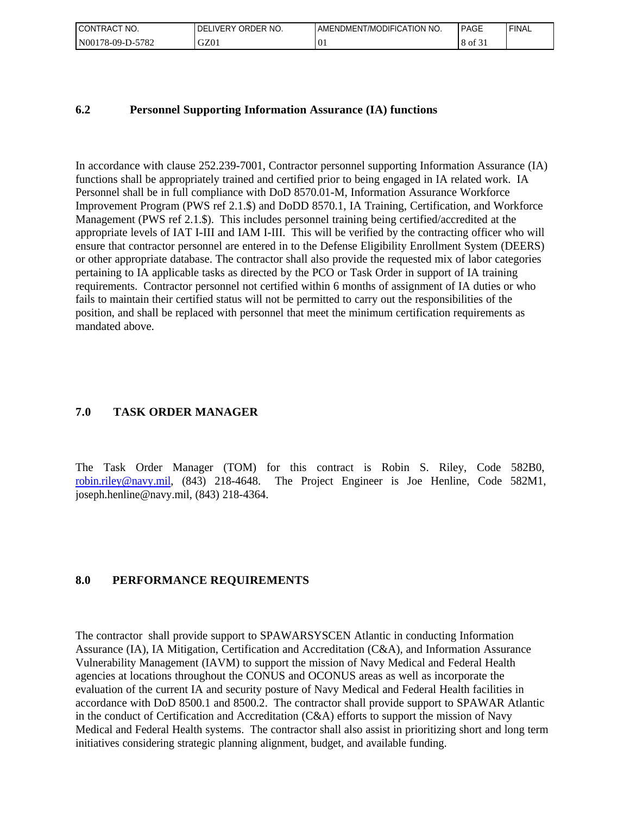| " NO.<br><b>CONTRACT</b><br>$\sim$ | ORDER NO.<br><b>DELIVERY</b> | AMENDMENT/MODIFICATION NO. | PAGE                     | 'FINAL |
|------------------------------------|------------------------------|----------------------------|--------------------------|--------|
| 5782<br>$N00178-09-D-2$            | GZ01                         | $\cdot 0.$                 | $\sim$ $\sim$<br>0Ī<br>8 |        |

#### **6.2 Personnel Supporting Information Assurance (IA) functions**

In accordance with clause 252.239-7001, Contractor personnel supporting Information Assurance (IA) functions shall be appropriately trained and certified prior to being engaged in IA related work. IA Personnel shall be in full compliance with DoD 8570.01-M, Information Assurance Workforce Improvement Program (PWS ref 2.1.\$) and DoDD 8570.1, IA Training, Certification, and Workforce Management (PWS ref 2.1.\$). This includes personnel training being certified/accredited at the appropriate levels of IAT I-III and IAM I-III. This will be verified by the contracting officer who will ensure that contractor personnel are entered in to the Defense Eligibility Enrollment System (DEERS) or other appropriate database. The contractor shall also provide the requested mix of labor categories pertaining to IA applicable tasks as directed by the PCO or Task Order in support of IA training requirements. Contractor personnel not certified within 6 months of assignment of IA duties or who fails to maintain their certified status will not be permitted to carry out the responsibilities of the position, and shall be replaced with personnel that meet the minimum certification requirements as mandated above.

#### **7.0 TASK ORDER MANAGER**

The Task Order Manager (TOM) for this contract is Robin S. Riley, Code 582B0, [robin.riley@navy.mil](mailto:robin.riley@navy.mil), (843) 218-4648. The Project Engineer is Joe Henline, Code 582M1, joseph.henline@navy.mil, (843) 218-4364.

#### **8.0 PERFORMANCE REQUIREMENTS**

The contractor shall provide support to SPAWARSYSCEN Atlantic in conducting Information Assurance (IA), IA Mitigation, Certification and Accreditation (C&A), and Information Assurance Vulnerability Management (IAVM) to support the mission of Navy Medical and Federal Health agencies at locations throughout the CONUS and OCONUS areas as well as incorporate the evaluation of the current IA and security posture of Navy Medical and Federal Health facilities in accordance with DoD 8500.1 and 8500.2. The contractor shall provide support to SPAWAR Atlantic in the conduct of Certification and Accreditation (C&A) efforts to support the mission of Navy Medical and Federal Health systems. The contractor shall also assist in prioritizing short and long term initiatives considering strategic planning alignment, budget, and available funding.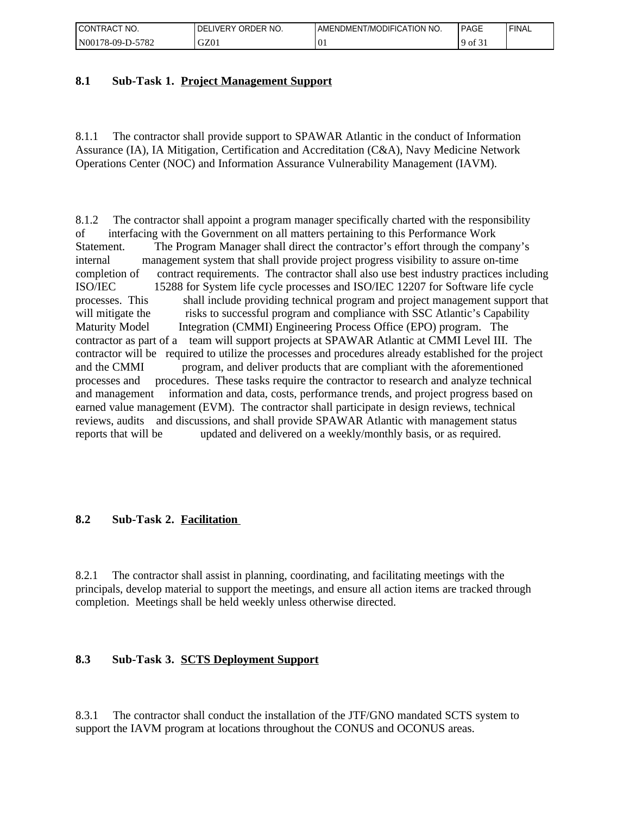| <b>CONTRACT</b><br>NO.<br>$\sim$ | ORDER NO.<br>∟IVERY<br>DFI | AMENDMENT/MODIFICATION NO.       | PAGE                               | 'FINAL |
|----------------------------------|----------------------------|----------------------------------|------------------------------------|--------|
| -5782<br>  N00178-09-D-5         | GZ01                       | $\curvearrowright$<br>$\cdot$ v. | $\mathcal{L}$<br>.400 <sup>4</sup> |        |

### **8.1 Sub-Task 1. Project Management Support**

8.1.1 The contractor shall provide support to SPAWAR Atlantic in the conduct of Information Assurance (IA), IA Mitigation, Certification and Accreditation (C&A), Navy Medicine Network Operations Center (NOC) and Information Assurance Vulnerability Management (IAVM).

8.1.2 The contractor shall appoint a program manager specifically charted with the responsibility of interfacing with the Government on all matters pertaining to this Performance Work Statement. The Program Manager shall direct the contractor's effort through the company's internal management system that shall provide project progress visibility to assure on-time completion of contract requirements. The contractor shall also use best industry practices including ISO/IEC 15288 for System life cycle processes and ISO/IEC 12207 for Software life cycle processes. This shall include providing technical program and project management support that will mitigate the risks to successful program and compliance with SSC Atlantic's Capability Maturity Model Integration (CMMI) Engineering Process Office (EPO) program. The contractor as part of a team will support projects at SPAWAR Atlantic at CMMI Level III. The contractor will be required to utilize the processes and procedures already established for the project and the CMMI program, and deliver products that are compliant with the aforementioned processes and procedures. These tasks require the contractor to research and analyze technical and management information and data, costs, performance trends, and project progress based on earned value management (EVM). The contractor shall participate in design reviews, technical reviews, audits and discussions, and shall provide SPAWAR Atlantic with management status reports that will be updated and delivered on a weekly/monthly basis, or as required.

### **8.2 Sub-Task 2. Facilitation**

8.2.1 The contractor shall assist in planning, coordinating, and facilitating meetings with the principals, develop material to support the meetings, and ensure all action items are tracked through completion. Meetings shall be held weekly unless otherwise directed.

### **8.3 Sub-Task 3. SCTS Deployment Support**

8.3.1 The contractor shall conduct the installation of the JTF/GNO mandated SCTS system to support the IAVM program at locations throughout the CONUS and OCONUS areas.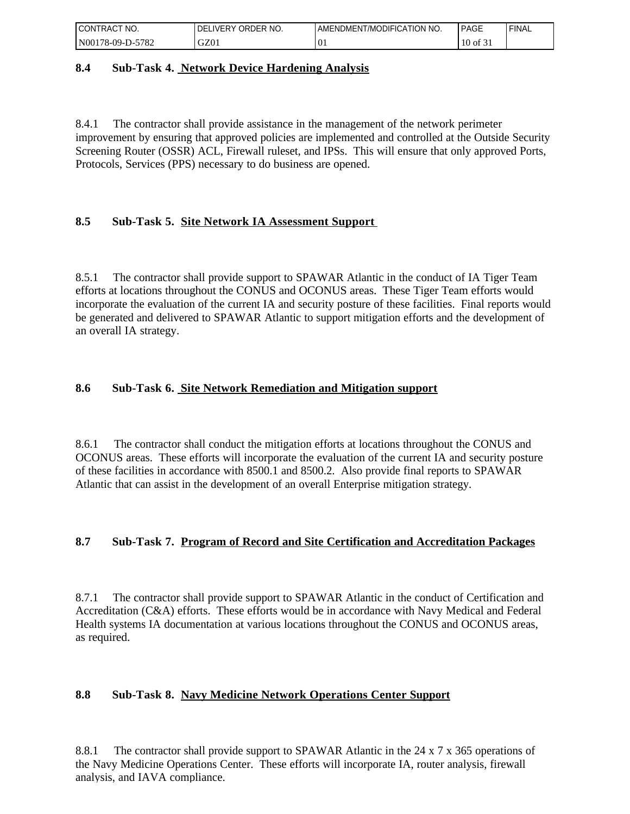| I CONTRACT<br>'NO. | ORDER NO.<br><b>DELIVERY</b> | AMENDMENT/MODIFICATION NO. | PAGE       | 'FINAL |
|--------------------|------------------------------|----------------------------|------------|--------|
| N00178-09-D-5782   | GZ01                         | $\overline{0}$ .           | $10$ of 31 |        |

#### **8.4 Sub-Task 4. Network Device Hardening Analysis**

8.4.1 The contractor shall provide assistance in the management of the network perimeter improvement by ensuring that approved policies are implemented and controlled at the Outside Security Screening Router (OSSR) ACL, Firewall ruleset, and IPSs. This will ensure that only approved Ports, Protocols, Services (PPS) necessary to do business are opened.

### **8.5 Sub-Task 5. Site Network IA Assessment Support**

8.5.1 The contractor shall provide support to SPAWAR Atlantic in the conduct of IA Tiger Team efforts at locations throughout the CONUS and OCONUS areas. These Tiger Team efforts would incorporate the evaluation of the current IA and security posture of these facilities. Final reports would be generated and delivered to SPAWAR Atlantic to support mitigation efforts and the development of an overall IA strategy.

### **8.6 Sub-Task 6. Site Network Remediation and Mitigation support**

8.6.1 The contractor shall conduct the mitigation efforts at locations throughout the CONUS and OCONUS areas. These efforts will incorporate the evaluation of the current IA and security posture of these facilities in accordance with 8500.1 and 8500.2. Also provide final reports to SPAWAR Atlantic that can assist in the development of an overall Enterprise mitigation strategy.

### **8.7 Sub-Task 7. Program of Record and Site Certification and Accreditation Packages**

8.7.1 The contractor shall provide support to SPAWAR Atlantic in the conduct of Certification and Accreditation (C&A) efforts. These efforts would be in accordance with Navy Medical and Federal Health systems IA documentation at various locations throughout the CONUS and OCONUS areas, as required.

### **8.8 Sub-Task 8. Navy Medicine Network Operations Center Support**

8.8.1 The contractor shall provide support to SPAWAR Atlantic in the 24 x 7 x 365 operations of the Navy Medicine Operations Center. These efforts will incorporate IA, router analysis, firewall analysis, and IAVA compliance.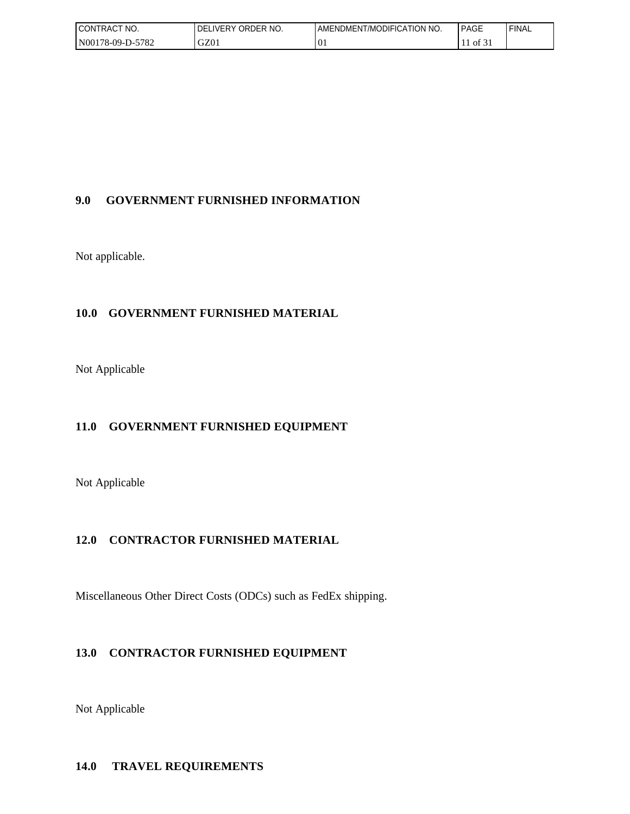| CONTRACT NO.     | I DELIVERY ORDER NO. | AMENDMENT/MODIFICATION NO.         | PAGE | ' FINAL |
|------------------|----------------------|------------------------------------|------|---------|
| N00178-09-D-5782 | GZ01                 | $\curvearrowright$<br>$\mathbf{u}$ | 0131 |         |

### **9.0 GOVERNMENT FURNISHED INFORMATION**

Not applicable.

### **10.0 GOVERNMENT FURNISHED MATERIAL**

Not Applicable

### **11.0 GOVERNMENT FURNISHED EQUIPMENT**

Not Applicable

### **12.0 CONTRACTOR FURNISHED MATERIAL**

Miscellaneous Other Direct Costs (ODCs) such as FedEx shipping.

## **13.0 CONTRACTOR FURNISHED EQUIPMENT**

Not Applicable

### **14.0 TRAVEL REQUIREMENTS**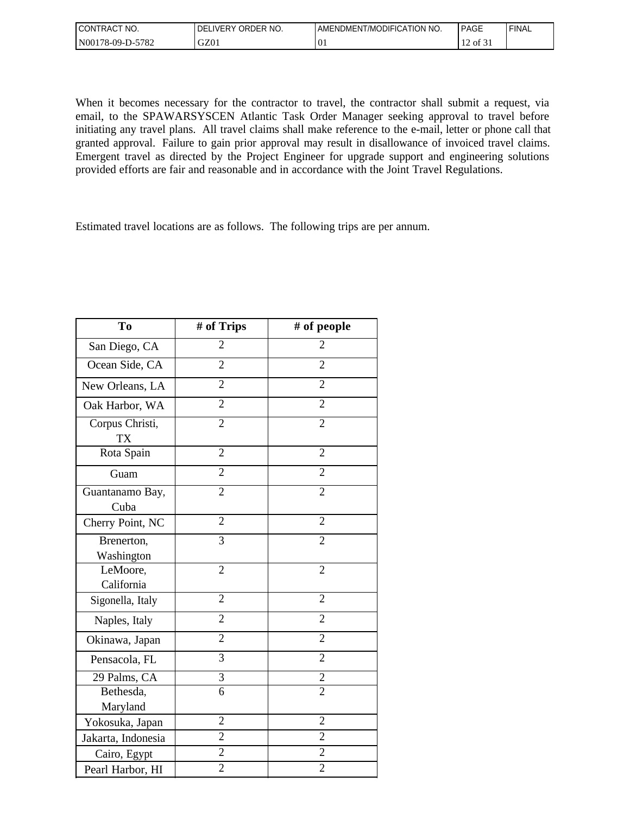| <b>CONTRACT</b><br>'NO.<br>$\sim$ $\sim$ | ORDER NO.<br><b>DELIVERY</b> | AMENDMENT/MODIFICATION NO. | <b>PAGE</b>                                                       | 'FINAL |
|------------------------------------------|------------------------------|----------------------------|-------------------------------------------------------------------|--------|
| $-5782$<br>N00178-09-D-5                 | GZ01                         | $\overline{0}$             | $\sim$ $\sim$<br>$\sim$<br>$\rightarrow$ of $\overline{z}$ .<br>∸ |        |

When it becomes necessary for the contractor to travel, the contractor shall submit a request, via email, to the SPAWARSYSCEN Atlantic Task Order Manager seeking approval to travel before initiating any travel plans. All travel claims shall make reference to the e-mail, letter or phone call that granted approval. Failure to gain prior approval may result in disallowance of invoiced travel claims. Emergent travel as directed by the Project Engineer for upgrade support and engineering solutions provided efforts are fair and reasonable and in accordance with the Joint Travel Regulations.

Estimated travel locations are as follows. The following trips are per annum.

| To                           | # of Trips     | # of people    |
|------------------------------|----------------|----------------|
| San Diego, CA                | $\overline{2}$ | $\overline{2}$ |
| Ocean Side, CA               | $\overline{2}$ | $\overline{2}$ |
| New Orleans, LA              | $\overline{2}$ | $\overline{2}$ |
| Oak Harbor, WA               | $\overline{2}$ | $\overline{2}$ |
| Corpus Christi,<br><b>TX</b> | $\overline{2}$ | $\overline{2}$ |
| Rota Spain                   | $\overline{2}$ | $\overline{2}$ |
| Guam                         | $\overline{2}$ | $\overline{2}$ |
| Guantanamo Bay,<br>Cuba      | $\overline{2}$ | $\overline{2}$ |
| Cherry Point, NC             | $\overline{2}$ | $\overline{2}$ |
| Brenerton,<br>Washington     | 3              | $\overline{2}$ |
| LeMoore,<br>California       | $\overline{2}$ | $\overline{2}$ |
| Sigonella, Italy             | $\overline{2}$ | $\overline{2}$ |
| Naples, Italy                | $\overline{2}$ | $\overline{2}$ |
| Okinawa, Japan               | $\overline{2}$ | $\overline{2}$ |
| Pensacola, FL                | 3              | $\overline{2}$ |
| 29 Palms, CA                 | 3              | $\overline{2}$ |
| Bethesda,                    | $\overline{6}$ | $\overline{2}$ |
| Maryland                     |                |                |
| Yokosuka, Japan              | $\overline{2}$ | $\overline{2}$ |
| Jakarta, Indonesia           | $\overline{2}$ | $\overline{2}$ |
| Cairo, Egypt                 | $\overline{2}$ | $\overline{2}$ |
| Pearl Harbor, HI             | $\overline{c}$ | $\overline{2}$ |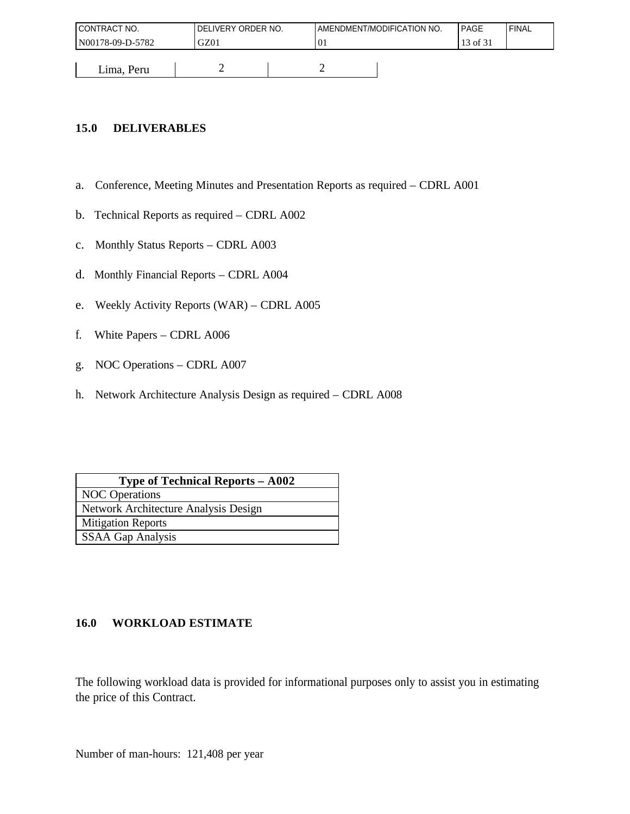| <b>I CONTRACT NO.</b> | DELIVERY ORDER NO. |    | AMENDMENT/MODIFICATION NO. | PAGE     | ' FINAL |
|-----------------------|--------------------|----|----------------------------|----------|---------|
| N00178-09-D-5782      | GZ01               | 01 |                            | 13 of 31 |         |
|                       |                    |    |                            |          |         |
| Lima, Peru            |                    | ∽  |                            |          |         |

### **15.0 DELIVERABLES**

- a. Conference, Meeting Minutes and Presentation Reports as required CDRL A001
- b. Technical Reports as required CDRL A002
- c. Monthly Status Reports CDRL A003
- d. Monthly Financial Reports CDRL A004
- e. Weekly Activity Reports (WAR) CDRL A005
- f. White Papers CDRL A006
- g. NOC Operations CDRL A007
- h. Network Architecture Analysis Design as required CDRL A008

| <b>Type of Technical Reports - A002</b> |
|-----------------------------------------|
| <b>NOC</b> Operations                   |
| Network Architecture Analysis Design    |
| <b>Mitigation Reports</b>               |
| <b>SSAA Gap Analysis</b>                |

### **16.0 WORKLOAD ESTIMATE**

The following workload data is provided for informational purposes only to assist you in estimating the price of this Contract.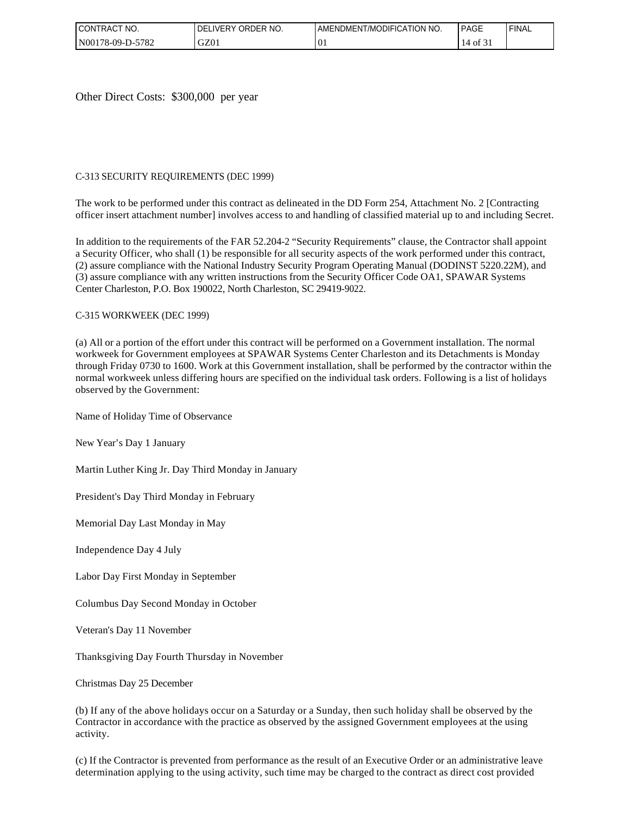| I CONTRACT<br>NO. | ORDER NO.<br>DEL<br><b>LIVERY</b> | AMENDMENT/MODIFICATION NO. | <b>PAGE</b> | ' FINAL |
|-------------------|-----------------------------------|----------------------------|-------------|---------|
| N00178-09-D-5782  | GZ01                              | $\Omega$<br>νı             | 0131<br>14  |         |

Other Direct Costs: \$300,000 per year

#### C-313 SECURITY REQUIREMENTS (DEC 1999)

The work to be performed under this contract as delineated in the DD Form 254, Attachment No. 2 [Contracting officer insert attachment number] involves access to and handling of classified material up to and including Secret.

In addition to the requirements of the FAR 52.204-2 "Security Requirements" clause, the Contractor shall appoint a Security Officer, who shall (1) be responsible for all security aspects of the work performed under this contract, (2) assure compliance with the National Industry Security Program Operating Manual (DODINST 5220.22M), and (3) assure compliance with any written instructions from the Security Officer Code OA1, SPAWAR Systems Center Charleston, P.O. Box 190022, North Charleston, SC 29419-9022.

#### C-315 WORKWEEK (DEC 1999)

(a) All or a portion of the effort under this contract will be performed on a Government installation. The normal workweek for Government employees at SPAWAR Systems Center Charleston and its Detachments is Monday through Friday 0730 to 1600. Work at this Government installation, shall be performed by the contractor within the normal workweek unless differing hours are specified on the individual task orders. Following is a list of holidays observed by the Government:

Name of Holiday Time of Observance

New Year's Day 1 January

Martin Luther King Jr. Day Third Monday in January

President's Day Third Monday in February

Memorial Day Last Monday in May

Independence Day 4 July

Labor Day First Monday in September

Columbus Day Second Monday in October

Veteran's Day 11 November

Thanksgiving Day Fourth Thursday in November

Christmas Day 25 December

(b) If any of the above holidays occur on a Saturday or a Sunday, then such holiday shall be observed by the Contractor in accordance with the practice as observed by the assigned Government employees at the using activity.

(c) If the Contractor is prevented from performance as the result of an Executive Order or an administrative leave determination applying to the using activity, such time may be charged to the contract as direct cost provided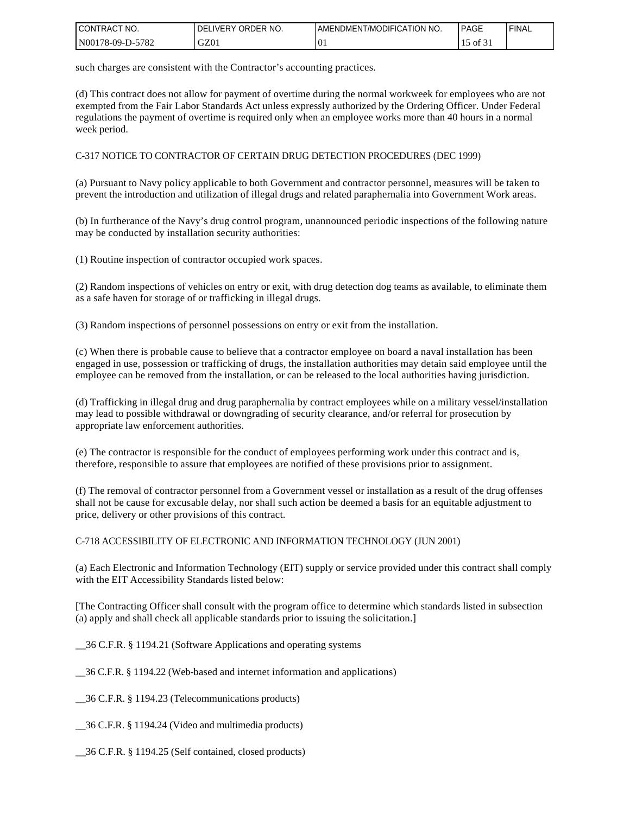| I CONTRACT<br>" NO. | ORDER NO.<br><b>DELIVERY</b> | AMENDMENT/MODIFICATION NO. | PAGE     | ' FINAL |
|---------------------|------------------------------|----------------------------|----------|---------|
| N00178-09-D-5782    | GZ01                         | $^{10}$                    | 15 of 31 |         |

such charges are consistent with the Contractor's accounting practices.

(d) This contract does not allow for payment of overtime during the normal workweek for employees who are not exempted from the Fair Labor Standards Act unless expressly authorized by the Ordering Officer. Under Federal regulations the payment of overtime is required only when an employee works more than 40 hours in a normal week period.

C-317 NOTICE TO CONTRACTOR OF CERTAIN DRUG DETECTION PROCEDURES (DEC 1999)

(a) Pursuant to Navy policy applicable to both Government and contractor personnel, measures will be taken to prevent the introduction and utilization of illegal drugs and related paraphernalia into Government Work areas.

(b) In furtherance of the Navy's drug control program, unannounced periodic inspections of the following nature may be conducted by installation security authorities:

(1) Routine inspection of contractor occupied work spaces.

(2) Random inspections of vehicles on entry or exit, with drug detection dog teams as available, to eliminate them as a safe haven for storage of or trafficking in illegal drugs.

(3) Random inspections of personnel possessions on entry or exit from the installation.

(c) When there is probable cause to believe that a contractor employee on board a naval installation has been engaged in use, possession or trafficking of drugs, the installation authorities may detain said employee until the employee can be removed from the installation, or can be released to the local authorities having jurisdiction.

(d) Trafficking in illegal drug and drug paraphernalia by contract employees while on a military vessel/installation may lead to possible withdrawal or downgrading of security clearance, and/or referral for prosecution by appropriate law enforcement authorities.

(e) The contractor is responsible for the conduct of employees performing work under this contract and is, therefore, responsible to assure that employees are notified of these provisions prior to assignment.

(f) The removal of contractor personnel from a Government vessel or installation as a result of the drug offenses shall not be cause for excusable delay, nor shall such action be deemed a basis for an equitable adjustment to price, delivery or other provisions of this contract.

C-718 ACCESSIBILITY OF ELECTRONIC AND INFORMATION TECHNOLOGY (JUN 2001)

(a) Each Electronic and Information Technology (EIT) supply or service provided under this contract shall comply with the EIT Accessibility Standards listed below:

[The Contracting Officer shall consult with the program office to determine which standards listed in subsection (a) apply and shall check all applicable standards prior to issuing the solicitation.]

\_\_36 C.F.R. § 1194.21 (Software Applications and operating systems

\_\_36 C.F.R. § 1194.22 (Web-based and internet information and applications)

\_\_36 C.F.R. § 1194.23 (Telecommunications products)

\_\_36 C.F.R. § 1194.24 (Video and multimedia products)

\_\_36 C.F.R. § 1194.25 (Self contained, closed products)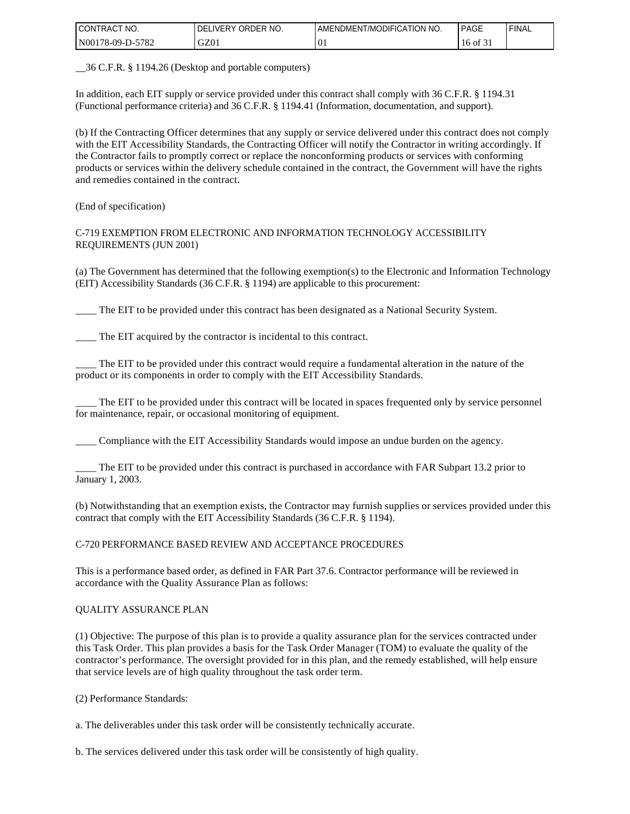| I CONTRACT NO.   | ORDER NO.<br><b>DELIVERY</b> | I AMENDMENT/MODIFICATION NO. | PAGE     | ' FINAL |
|------------------|------------------------------|------------------------------|----------|---------|
| N00178-09-D-5782 | GZ01                         | . U.                         | 16 of 31 |         |

\_\_36 C.F.R. § 1194.26 (Desktop and portable computers)

In addition, each EIT supply or service provided under this contract shall comply with 36 C.F.R. § 1194.31 (Functional performance criteria) and 36 C.F.R. § 1194.41 (Information, documentation, and support).

(b) If the Contracting Officer determines that any supply or service delivered under this contract does not comply with the EIT Accessibility Standards, the Contracting Officer will notify the Contractor in writing accordingly. If the Contractor fails to promptly correct or replace the nonconforming products or services with conforming products or services within the delivery schedule contained in the contract, the Government will have the rights and remedies contained in the contract.

(End of specification)

C-719 EXEMPTION FROM ELECTRONIC AND INFORMATION TECHNOLOGY ACCESSIBILITY REQUIREMENTS (JUN 2001)

(a) The Government has determined that the following exemption(s) to the Electronic and Information Technology (EIT) Accessibility Standards (36 C.F.R. § 1194) are applicable to this procurement:

\_\_\_\_ The EIT to be provided under this contract has been designated as a National Security System.

The EIT acquired by the contractor is incidental to this contract.

The EIT to be provided under this contract would require a fundamental alteration in the nature of the product or its components in order to comply with the EIT Accessibility Standards.

The EIT to be provided under this contract will be located in spaces frequented only by service personnel for maintenance, repair, or occasional monitoring of equipment.

\_\_\_\_ Compliance with the EIT Accessibility Standards would impose an undue burden on the agency.

\_\_\_\_ The EIT to be provided under this contract is purchased in accordance with FAR Subpart 13.2 prior to January 1, 2003.

(b) Notwithstanding that an exemption exists, the Contractor may furnish supplies or services provided under this contract that comply with the EIT Accessibility Standards (36 C.F.R. § 1194).

C-720 PERFORMANCE BASED REVIEW AND ACCEPTANCE PROCEDURES

This is a performance based order, as defined in FAR Part 37.6. Contractor performance will be reviewed in accordance with the Quality Assurance Plan as follows:

#### QUALITY ASSURANCE PLAN

(1) Objective: The purpose of this plan is to provide a quality assurance plan for the services contracted under this Task Order. This plan provides a basis for the Task Order Manager (TOM) to evaluate the quality of the contractor's performance. The oversight provided for in this plan, and the remedy established, will help ensure that service levels are of high quality throughout the task order term.

(2) Performance Standards:

a. The deliverables under this task order will be consistently technically accurate.

b. The services delivered under this task order will be consistently of high quality.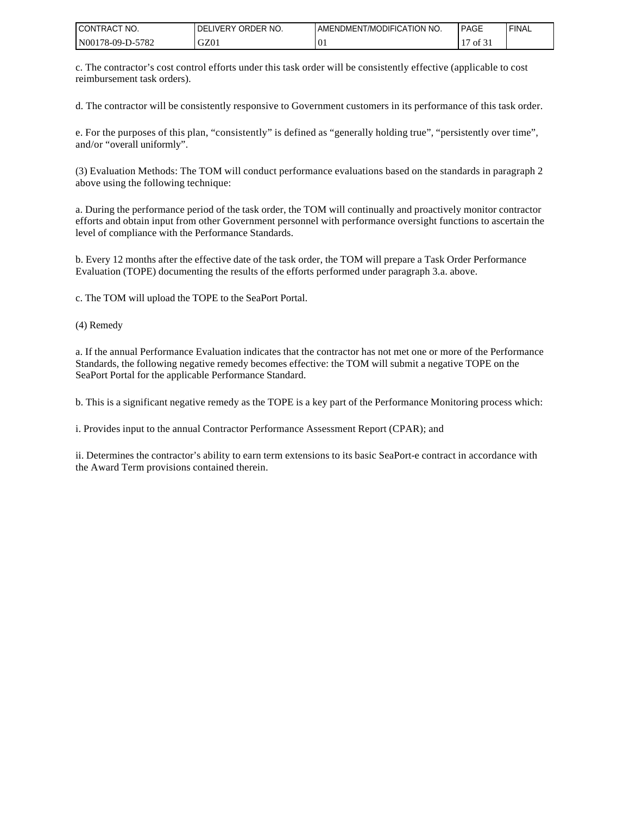| I CONTRACT NO.   | DELIVERY ORDER NO. | I AMENDMENT/MODIFICATION NO. | <b>PAGE</b> | 'FINAL |
|------------------|--------------------|------------------------------|-------------|--------|
| N00178-09-D-5782 | GZ01               | $\overline{0}$               | of $31$     |        |

c. The contractor's cost control efforts under this task order will be consistently effective (applicable to cost reimbursement task orders).

d. The contractor will be consistently responsive to Government customers in its performance of this task order.

e. For the purposes of this plan, "consistently" is defined as "generally holding true", "persistently over time", and/or "overall uniformly".

(3) Evaluation Methods: The TOM will conduct performance evaluations based on the standards in paragraph 2 above using the following technique:

a. During the performance period of the task order, the TOM will continually and proactively monitor contractor efforts and obtain input from other Government personnel with performance oversight functions to ascertain the level of compliance with the Performance Standards.

b. Every 12 months after the effective date of the task order, the TOM will prepare a Task Order Performance Evaluation (TOPE) documenting the results of the efforts performed under paragraph 3.a. above.

c. The TOM will upload the TOPE to the SeaPort Portal.

(4) Remedy

a. If the annual Performance Evaluation indicates that the contractor has not met one or more of the Performance Standards, the following negative remedy becomes effective: the TOM will submit a negative TOPE on the SeaPort Portal for the applicable Performance Standard.

b. This is a significant negative remedy as the TOPE is a key part of the Performance Monitoring process which:

i. Provides input to the annual Contractor Performance Assessment Report (CPAR); and

ii. Determines the contractor's ability to earn term extensions to its basic SeaPort-e contract in accordance with the Award Term provisions contained therein.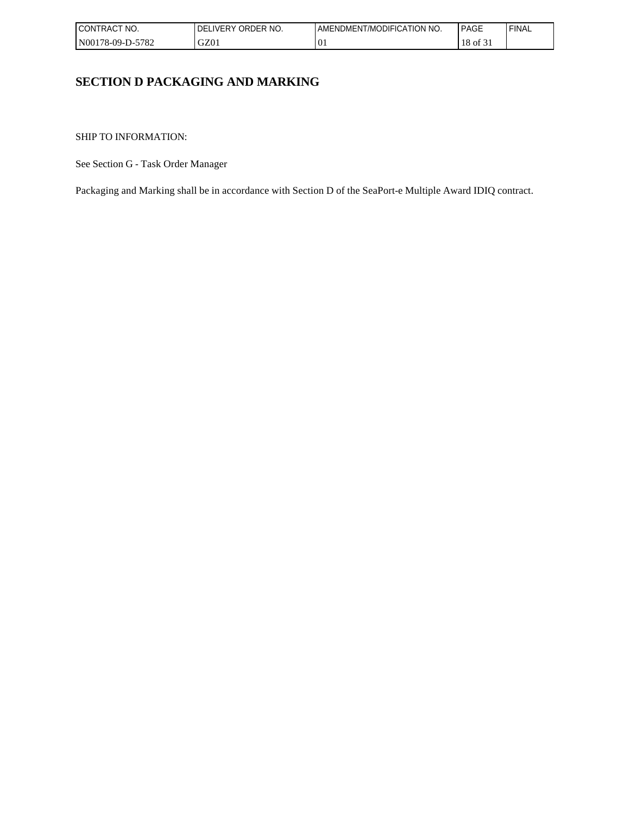| I CONTRACT<br>NO. | ORDER NO.<br>LIVERY<br>DEL | <b>LAMENDMENT/MODIFICATION NO.</b> | <b>PAGE</b> | ' FINAL |
|-------------------|----------------------------|------------------------------------|-------------|---------|
| N00178-09-D-5782  | GZ01                       | $\Omega$<br>υı                     | 18<br>0t    |         |

## **SECTION D PACKAGING AND MARKING**

SHIP TO INFORMATION:

See Section G - Task Order Manager

Packaging and Marking shall be in accordance with Section D of the SeaPort-e Multiple Award IDIQ contract.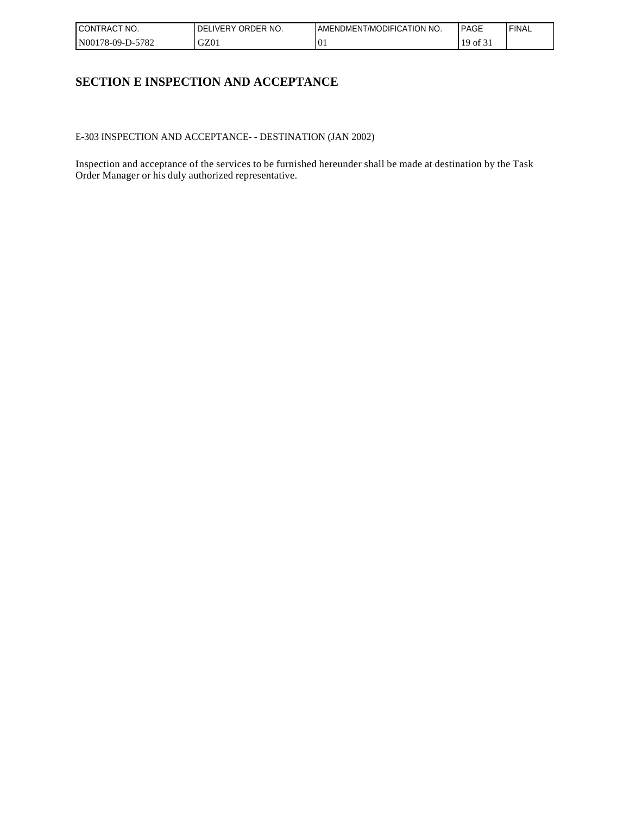| I CONTRACT<br>NO. | ORDER NO.<br><b>DELIVERY</b> | AMENDMENT/MODIFICATION NO.     | <b>PAGE</b> | 'FINAL |
|-------------------|------------------------------|--------------------------------|-------------|--------|
| N00178-09-D-5782  | GZ01                         | $\Omega$<br>$\cdot \mathbf{u}$ | 19<br>0t    |        |

## **SECTION E INSPECTION AND ACCEPTANCE**

E-303 INSPECTION AND ACCEPTANCE- - DESTINATION (JAN 2002)

Inspection and acceptance of the services to be furnished hereunder shall be made at destination by the Task Order Manager or his duly authorized representative.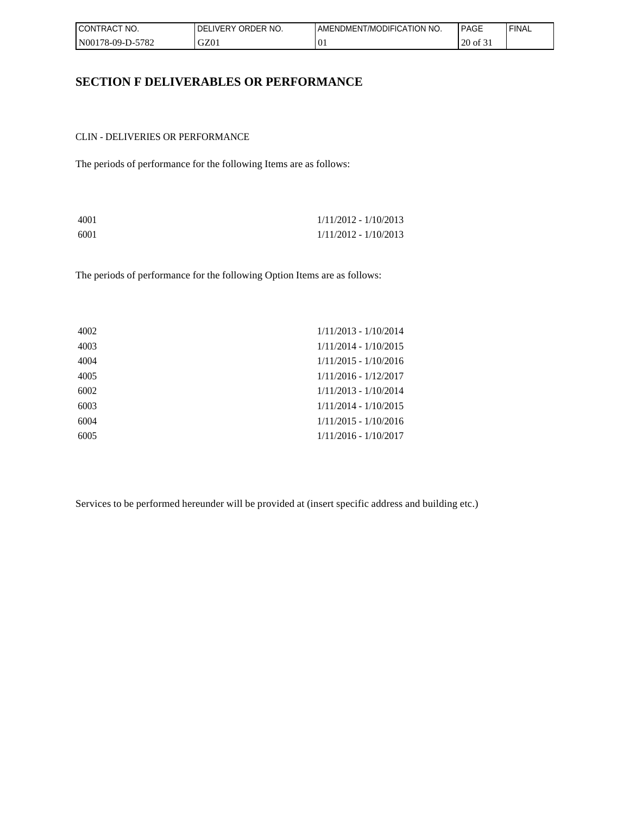| <b>CONTRACT</b><br>NO. | ORDER NO.<br><b>DELIVERY</b> | AMENDMENT/MODIFICATION NO. | <b>PAGE</b> | <b>FINAL</b> |
|------------------------|------------------------------|----------------------------|-------------|--------------|
| N00178-09-D-5782       | GZ01                         | $^{10}$                    | 20 of 31    |              |

### **SECTION F DELIVERABLES OR PERFORMANCE**

CLIN - DELIVERIES OR PERFORMANCE

The periods of performance for the following Items are as follows:

| 4001 | $1/11/2012 - 1/10/2013$ |
|------|-------------------------|
| 6001 | $1/11/2012 - 1/10/2013$ |

The periods of performance for the following Option Items are as follows:

| 4002 | $1/11/2013 - 1/10/2014$ |
|------|-------------------------|
| 4003 | $1/11/2014 - 1/10/2015$ |
| 4004 | $1/11/2015 - 1/10/2016$ |
| 4005 | $1/11/2016 - 1/12/2017$ |
| 6002 | 1/11/2013 - 1/10/2014   |
| 6003 | $1/11/2014 - 1/10/2015$ |
| 6004 | $1/11/2015 - 1/10/2016$ |
| 6005 | $1/11/2016 - 1/10/2017$ |

Services to be performed hereunder will be provided at (insert specific address and building etc.)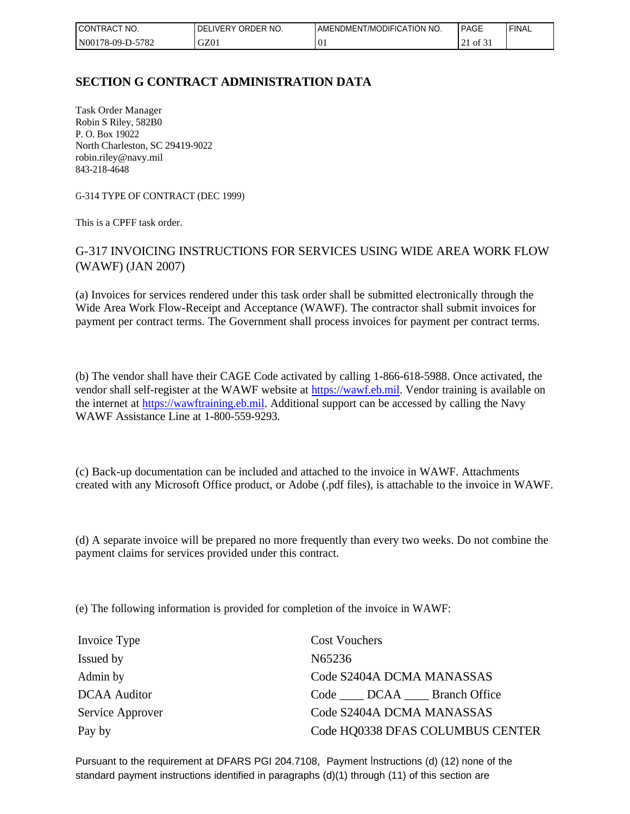| <b>CONTRACT</b><br>$\sim$ $\sim$<br>NO. | I DELIVERY ORDER NO. | ENDMENT/MODIFICATION NO.<br><b>AME</b> | <b>PAGE</b>              | <b>FINAL</b> |
|-----------------------------------------|----------------------|----------------------------------------|--------------------------|--------------|
| N00178-09-D-5<br>-5782                  | GZ01                 | $\overline{0}$                         | $\sim$ $\sim$<br>of $31$ |              |

## **SECTION G CONTRACT ADMINISTRATION DATA**

Task Order Manager Robin S Riley, 582B0 P. O. Box 19022 North Charleston, SC 29419-9022 robin.riley@navy.mil 843-218-4648

G-314 TYPE OF CONTRACT (DEC 1999)

This is a CPFF task order.

### G-317 INVOICING INSTRUCTIONS FOR SERVICES USING WIDE AREA WORK FLOW (WAWF) (JAN 2007)

(a) Invoices for services rendered under this task order shall be submitted electronically through the Wide Area Work Flow-Receipt and Acceptance (WAWF). The contractor shall submit invoices for payment per contract terms. The Government shall process invoices for payment per contract terms.

(b) The vendor shall have their CAGE Code activated by calling 1-866-618-5988. Once activated, the vendor shall self-register at the WAWF website at [https://wawf.eb.mil.](https://wawf.eb.mil/) Vendor training is available on the internet at [https://wawftraining.eb.mil](https://wawftraining.eb.mil/). Additional support can be accessed by calling the Navy WAWF Assistance Line at 1-800-559-9293.

(c) Back-up documentation can be included and attached to the invoice in WAWF. Attachments created with any Microsoft Office product, or Adobe (.pdf files), is attachable to the invoice in WAWF.

(d) A separate invoice will be prepared no more frequently than every two weeks. Do not combine the payment claims for services provided under this contract.

(e) The following information is provided for completion of the invoice in WAWF:

| Invoice Type        | <b>Cost Vouchers</b>             |
|---------------------|----------------------------------|
| Issued by           | N65236                           |
| Admin by            | Code S2404A DCMA MANASSAS        |
| <b>DCAA</b> Auditor | Code DCAA Branch Office          |
| Service Approver    | Code S2404A DCMA MANASSAS        |
| Pay by              | Code HQ0338 DFAS COLUMBUS CENTER |

Pursuant to the requirement at DFARS PGI 204.7108, Payment Instructions (d) (12) none of the standard payment instructions identified in paragraphs (d)(1) through (11) of this section are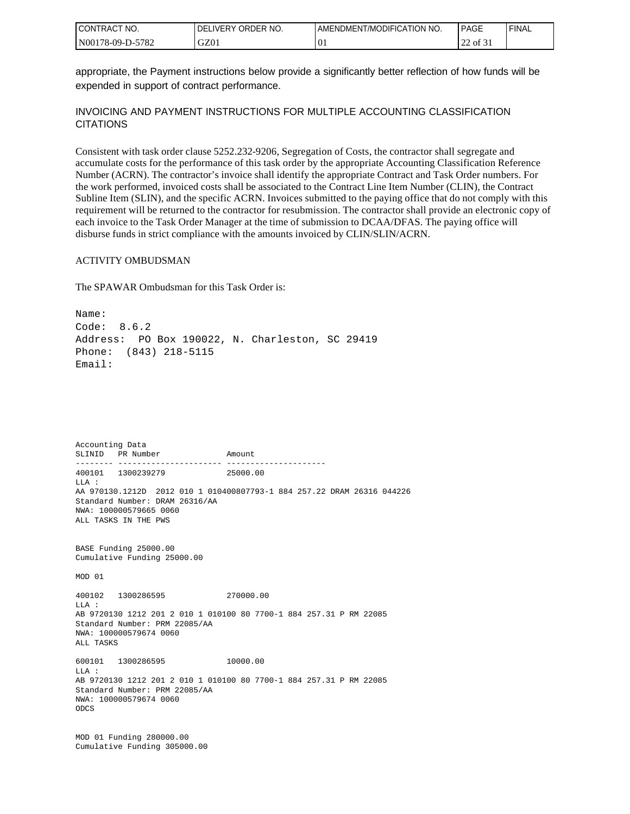| I CONTRACT<br>'NO. | ORDER NO.<br><b>DELIVERY</b> | AMENDMENT/MODIFICATION NO. | PAGE                                       | 'FINAL |
|--------------------|------------------------------|----------------------------|--------------------------------------------|--------|
| N00178-09-D-5782   | GZ01                         | . v.                       | $\sim$ $\sim$<br>$\sim$ of $\sigma$ .<br>∼ |        |

appropriate, the Payment instructions below provide a significantly better reflection of how funds will be expended in support of contract performance.

#### INVOICING AND PAYMENT INSTRUCTIONS FOR MULTIPLE ACCOUNTING CLASSIFICATION **CITATIONS**

Consistent with task order clause 5252.232-9206, Segregation of Costs, the contractor shall segregate and accumulate costs for the performance of this task order by the appropriate Accounting Classification Reference Number (ACRN). The contractor's invoice shall identify the appropriate Contract and Task Order numbers. For the work performed, invoiced costs shall be associated to the Contract Line Item Number (CLIN), the Contract Subline Item (SLIN), and the specific ACRN. Invoices submitted to the paying office that do not comply with this requirement will be returned to the contractor for resubmission. The contractor shall provide an electronic copy of each invoice to the Task Order Manager at the time of submission to DCAA/DFAS. The paying office will disburse funds in strict compliance with the amounts invoiced by CLIN/SLIN/ACRN.

#### ACTIVITY OMBUDSMAN

The SPAWAR Ombudsman for this Task Order is:

Name: Code: 8.6.2 Address: PO Box 190022, N. Charleston, SC 29419 Phone: (843) 218-5115 Email:

Accounting Data SLINID PR Number Amount -------- ---------------------- --------------------- 400101 1300239279 25000.00 LLA : AA 970130.1212D 2012 010 1 010400807793-1 884 257.22 DRAM 26316 044226 Standard Number: DRAM 26316/AA NWA: 100000579665 0060 ALL TASKS IN THE PWS BASE Funding 25000.00 Cumulative Funding 25000.00 MOD 01 400102 1300286595 270000.00 LLA : AB 9720130 1212 201 2 010 1 010100 80 7700-1 884 257.31 P RM 22085 Standard Number: PRM 22085/AA NWA: 100000579674 0060 ALL TASKS 600101 1300286595 10000.00  $T.T.A$  : AB 9720130 1212 201 2 010 1 010100 80 7700-1 884 257.31 P RM 22085 Standard Number: PRM 22085/AA NWA: 100000579674 0060 ODCS MOD 01 Funding 280000.00 Cumulative Funding 305000.00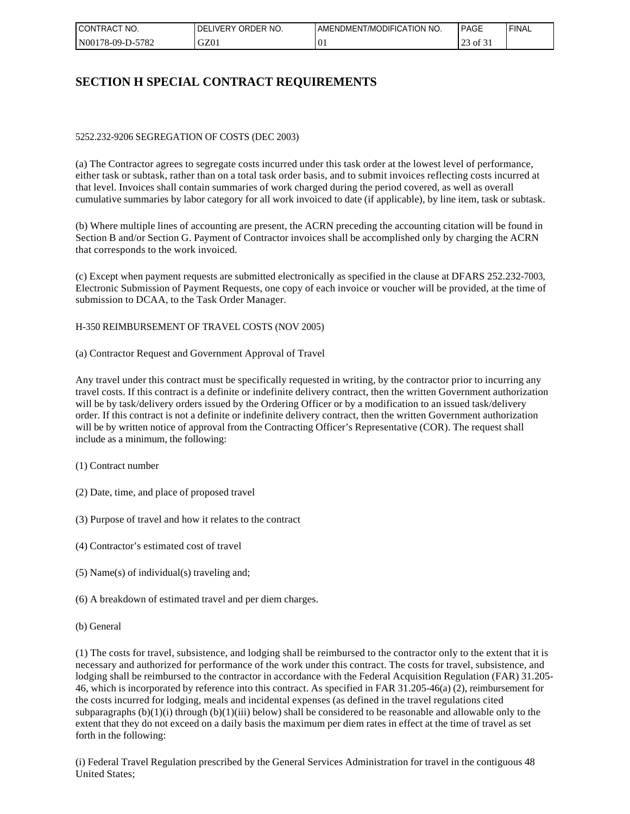| I CONTRACT<br>NO. | ORDER NO.<br><b>DELIVERY</b> | AMENDMENT/MODIFICATION NO. | <b>PAGE</b>                   | `FINAL |
|-------------------|------------------------------|----------------------------|-------------------------------|--------|
| N00178-09-D-5782  | GZ01                         | $\Omega$<br>. v.           | $\sim$<br>$\circ$ of 3.<br>رے |        |

## **SECTION H SPECIAL CONTRACT REQUIREMENTS**

#### 5252.232-9206 SEGREGATION OF COSTS (DEC 2003)

(a) The Contractor agrees to segregate costs incurred under this task order at the lowest level of performance, either task or subtask, rather than on a total task order basis, and to submit invoices reflecting costs incurred at that level. Invoices shall contain summaries of work charged during the period covered, as well as overall cumulative summaries by labor category for all work invoiced to date (if applicable), by line item, task or subtask.

(b) Where multiple lines of accounting are present, the ACRN preceding the accounting citation will be found in Section B and/or Section G. Payment of Contractor invoices shall be accomplished only by charging the ACRN that corresponds to the work invoiced.

(c) Except when payment requests are submitted electronically as specified in the clause at DFARS 252.232-7003, Electronic Submission of Payment Requests, one copy of each invoice or voucher will be provided, at the time of submission to DCAA, to the Task Order Manager.

H-350 REIMBURSEMENT OF TRAVEL COSTS (NOV 2005)

(a) Contractor Request and Government Approval of Travel

Any travel under this contract must be specifically requested in writing, by the contractor prior to incurring any travel costs. If this contract is a definite or indefinite delivery contract, then the written Government authorization will be by task/delivery orders issued by the Ordering Officer or by a modification to an issued task/delivery order. If this contract is not a definite or indefinite delivery contract, then the written Government authorization will be by written notice of approval from the Contracting Officer's Representative (COR). The request shall include as a minimum, the following:

- (1) Contract number
- (2) Date, time, and place of proposed travel
- (3) Purpose of travel and how it relates to the contract
- (4) Contractor's estimated cost of travel
- (5) Name(s) of individual(s) traveling and;
- (6) A breakdown of estimated travel and per diem charges.
- (b) General

(1) The costs for travel, subsistence, and lodging shall be reimbursed to the contractor only to the extent that it is necessary and authorized for performance of the work under this contract. The costs for travel, subsistence, and lodging shall be reimbursed to the contractor in accordance with the Federal Acquisition Regulation (FAR) 31.205-46, which is incorporated by reference into this contract. As specified in FAR 31.205-46(a) (2), reimbursement for the costs incurred for lodging, meals and incidental expenses (as defined in the travel regulations cited subparagraphs  $(b)(1)(i)$  through  $(b)(1)(iii)$  below) shall be considered to be reasonable and allowable only to the extent that they do not exceed on a daily basis the maximum per diem rates in effect at the time of travel as set forth in the following:

(i) Federal Travel Regulation prescribed by the General Services Administration for travel in the contiguous 48 United States;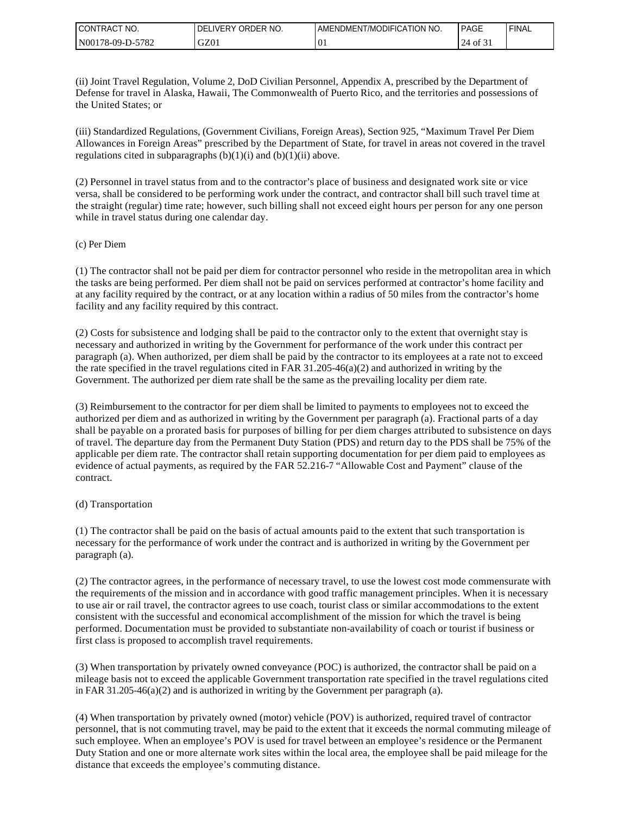| I CONTRACT<br>NO. | ORDER NO.<br><b>IVERY</b><br>DEL | AMENDMENT/MODIFICATION NO. | <b>PAGE</b>               | `FINAL |
|-------------------|----------------------------------|----------------------------|---------------------------|--------|
| N00178-09-D-5782  | GZ01                             | $\Omega$<br>. v.           | $\sim$ $\sim$<br>24<br>ΟĪ |        |

(ii) Joint Travel Regulation, Volume 2, DoD Civilian Personnel, Appendix A, prescribed by the Department of Defense for travel in Alaska, Hawaii, The Commonwealth of Puerto Rico, and the territories and possessions of the United States; or

(iii) Standardized Regulations, (Government Civilians, Foreign Areas), Section 925, "Maximum Travel Per Diem Allowances in Foreign Areas" prescribed by the Department of State, for travel in areas not covered in the travel regulations cited in subparagraphs  $(b)(1)(i)$  and  $(b)(1)(ii)$  above.

(2) Personnel in travel status from and to the contractor's place of business and designated work site or vice versa, shall be considered to be performing work under the contract, and contractor shall bill such travel time at the straight (regular) time rate; however, such billing shall not exceed eight hours per person for any one person while in travel status during one calendar day.

#### (c) Per Diem

(1) The contractor shall not be paid per diem for contractor personnel who reside in the metropolitan area in which the tasks are being performed. Per diem shall not be paid on services performed at contractor's home facility and at any facility required by the contract, or at any location within a radius of 50 miles from the contractor's home facility and any facility required by this contract.

(2) Costs for subsistence and lodging shall be paid to the contractor only to the extent that overnight stay is necessary and authorized in writing by the Government for performance of the work under this contract per paragraph (a). When authorized, per diem shall be paid by the contractor to its employees at a rate not to exceed the rate specified in the travel regulations cited in FAR 31.205-46(a)(2) and authorized in writing by the Government. The authorized per diem rate shall be the same as the prevailing locality per diem rate.

(3) Reimbursement to the contractor for per diem shall be limited to payments to employees not to exceed the authorized per diem and as authorized in writing by the Government per paragraph (a). Fractional parts of a day shall be payable on a prorated basis for purposes of billing for per diem charges attributed to subsistence on days of travel. The departure day from the Permanent Duty Station (PDS) and return day to the PDS shall be 75% of the applicable per diem rate. The contractor shall retain supporting documentation for per diem paid to employees as evidence of actual payments, as required by the FAR 52.216-7 "Allowable Cost and Payment" clause of the contract.

#### (d) Transportation

(1) The contractor shall be paid on the basis of actual amounts paid to the extent that such transportation is necessary for the performance of work under the contract and is authorized in writing by the Government per paragraph (a).

(2) The contractor agrees, in the performance of necessary travel, to use the lowest cost mode commensurate with the requirements of the mission and in accordance with good traffic management principles. When it is necessary to use air or rail travel, the contractor agrees to use coach, tourist class or similar accommodations to the extent consistent with the successful and economical accomplishment of the mission for which the travel is being performed. Documentation must be provided to substantiate non-availability of coach or tourist if business or first class is proposed to accomplish travel requirements.

(3) When transportation by privately owned conveyance (POC) is authorized, the contractor shall be paid on a mileage basis not to exceed the applicable Government transportation rate specified in the travel regulations cited in FAR 31.205-46(a)(2) and is authorized in writing by the Government per paragraph (a).

(4) When transportation by privately owned (motor) vehicle (POV) is authorized, required travel of contractor personnel, that is not commuting travel, may be paid to the extent that it exceeds the normal commuting mileage of such employee. When an employee's POV is used for travel between an employee's residence or the Permanent Duty Station and one or more alternate work sites within the local area, the employee shall be paid mileage for the distance that exceeds the employee's commuting distance.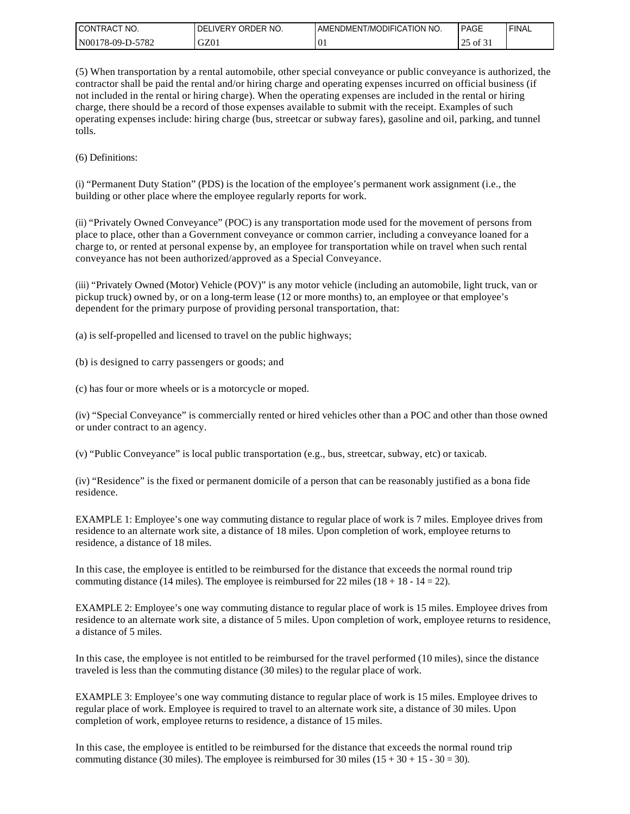| I CONTRACT<br>'NO. | ELIVERY ORDER NO.<br>DEL | <b>I AMENDMENT/MODIFICATION NO.</b> | <b>PAGE</b>                  | ' FINAL |
|--------------------|--------------------------|-------------------------------------|------------------------------|---------|
| N00178-09-D-5782   | GZ01                     | $^{10}$                             | $\mathcal{L}$<br>of 31<br>رے |         |

(5) When transportation by a rental automobile, other special conveyance or public conveyance is authorized, the contractor shall be paid the rental and/or hiring charge and operating expenses incurred on official business (if not included in the rental or hiring charge). When the operating expenses are included in the rental or hiring charge, there should be a record of those expenses available to submit with the receipt. Examples of such operating expenses include: hiring charge (bus, streetcar or subway fares), gasoline and oil, parking, and tunnel tolls.

(6) Definitions:

(i) "Permanent Duty Station" (PDS) is the location of the employee's permanent work assignment (i.e., the building or other place where the employee regularly reports for work.

(ii) "Privately Owned Conveyance" (POC) is any transportation mode used for the movement of persons from place to place, other than a Government conveyance or common carrier, including a conveyance loaned for a charge to, or rented at personal expense by, an employee for transportation while on travel when such rental conveyance has not been authorized/approved as a Special Conveyance.

(iii) "Privately Owned (Motor) Vehicle (POV)" is any motor vehicle (including an automobile, light truck, van or pickup truck) owned by, or on a long-term lease (12 or more months) to, an employee or that employee's dependent for the primary purpose of providing personal transportation, that:

(a) is self-propelled and licensed to travel on the public highways;

(b) is designed to carry passengers or goods; and

(c) has four or more wheels or is a motorcycle or moped.

(iv) "Special Conveyance" is commercially rented or hired vehicles other than a POC and other than those owned or under contract to an agency.

(v) "Public Conveyance" is local public transportation (e.g., bus, streetcar, subway, etc) or taxicab.

(iv) "Residence" is the fixed or permanent domicile of a person that can be reasonably justified as a bona fide residence.

EXAMPLE 1: Employee's one way commuting distance to regular place of work is 7 miles. Employee drives from residence to an alternate work site, a distance of 18 miles. Upon completion of work, employee returns to residence, a distance of 18 miles.

In this case, the employee is entitled to be reimbursed for the distance that exceeds the normal round trip commuting distance (14 miles). The employee is reimbursed for 22 miles ( $18 + 18 - 14 = 22$ ).

EXAMPLE 2: Employee's one way commuting distance to regular place of work is 15 miles. Employee drives from residence to an alternate work site, a distance of 5 miles. Upon completion of work, employee returns to residence, a distance of 5 miles.

In this case, the employee is not entitled to be reimbursed for the travel performed (10 miles), since the distance traveled is less than the commuting distance (30 miles) to the regular place of work.

EXAMPLE 3: Employee's one way commuting distance to regular place of work is 15 miles. Employee drives to regular place of work. Employee is required to travel to an alternate work site, a distance of 30 miles. Upon completion of work, employee returns to residence, a distance of 15 miles.

In this case, the employee is entitled to be reimbursed for the distance that exceeds the normal round trip commuting distance (30 miles). The employee is reimbursed for 30 miles ( $15 + 30 + 15 - 30 = 30$ ).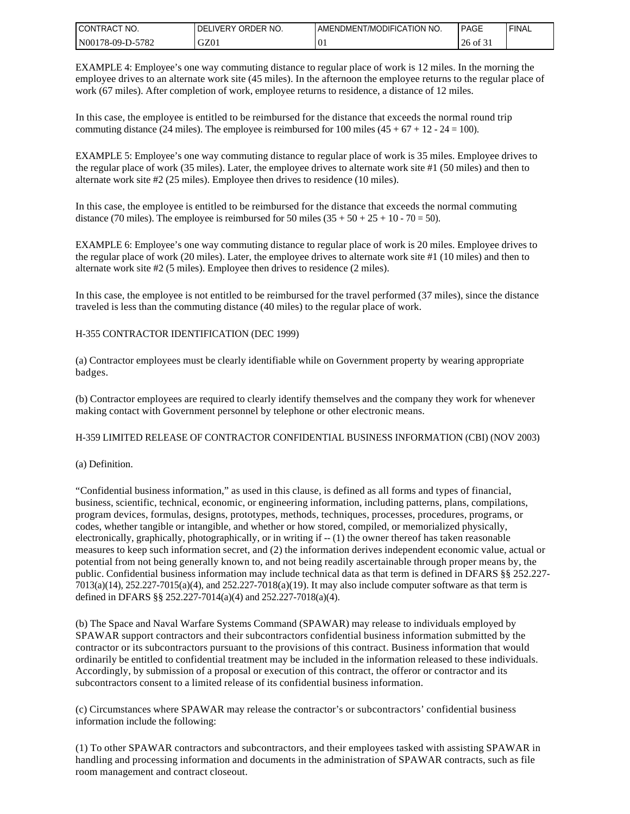| I CONTRACT NO.   | I DELIVERY ORDER NO. | AMENDMENT/MODIFICATION NO. | <b>PAGE</b> | ' FINAL |
|------------------|----------------------|----------------------------|-------------|---------|
| N00178-09-D-5782 | GZ01                 | $^{10}$                    | 26 of 31    |         |

EXAMPLE 4: Employee's one way commuting distance to regular place of work is 12 miles. In the morning the employee drives to an alternate work site (45 miles). In the afternoon the employee returns to the regular place of work (67 miles). After completion of work, employee returns to residence, a distance of 12 miles.

In this case, the employee is entitled to be reimbursed for the distance that exceeds the normal round trip commuting distance (24 miles). The employee is reimbursed for 100 miles  $(45 + 67 + 12 - 24 = 100)$ .

EXAMPLE 5: Employee's one way commuting distance to regular place of work is 35 miles. Employee drives to the regular place of work (35 miles). Later, the employee drives to alternate work site #1 (50 miles) and then to alternate work site #2 (25 miles). Employee then drives to residence (10 miles).

In this case, the employee is entitled to be reimbursed for the distance that exceeds the normal commuting distance (70 miles). The employee is reimbursed for 50 miles  $(35 + 50 + 25 + 10 - 70 = 50)$ .

EXAMPLE 6: Employee's one way commuting distance to regular place of work is 20 miles. Employee drives to the regular place of work (20 miles). Later, the employee drives to alternate work site #1 (10 miles) and then to alternate work site #2 (5 miles). Employee then drives to residence (2 miles).

In this case, the employee is not entitled to be reimbursed for the travel performed (37 miles), since the distance traveled is less than the commuting distance (40 miles) to the regular place of work.

#### H-355 CONTRACTOR IDENTIFICATION (DEC 1999)

(a) Contractor employees must be clearly identifiable while on Government property by wearing appropriate badges.

(b) Contractor employees are required to clearly identify themselves and the company they work for whenever making contact with Government personnel by telephone or other electronic means.

#### H-359 LIMITED RELEASE OF CONTRACTOR CONFIDENTIAL BUSINESS INFORMATION (CBI) (NOV 2003)

#### (a) Definition.

"Confidential business information," as used in this clause, is defined as all forms and types of financial, business, scientific, technical, economic, or engineering information, including patterns, plans, compilations, program devices, formulas, designs, prototypes, methods, techniques, processes, procedures, programs, or codes, whether tangible or intangible, and whether or how stored, compiled, or memorialized physically, electronically, graphically, photographically, or in writing if -- (1) the owner thereof has taken reasonable measures to keep such information secret, and (2) the information derives independent economic value, actual or potential from not being generally known to, and not being readily ascertainable through proper means by, the public. Confidential business information may include technical data as that term is defined in DFARS §§ 252.227- 7013(a)(14), 252.227-7015(a)(4), and 252.227-7018(a)(19). It may also include computer software as that term is defined in DFARS §§ 252.227-7014(a)(4) and 252.227-7018(a)(4).

(b) The Space and Naval Warfare Systems Command (SPAWAR) may release to individuals employed by SPAWAR support contractors and their subcontractors confidential business information submitted by the contractor or its subcontractors pursuant to the provisions of this contract. Business information that would ordinarily be entitled to confidential treatment may be included in the information released to these individuals. Accordingly, by submission of a proposal or execution of this contract, the offeror or contractor and its subcontractors consent to a limited release of its confidential business information.

(c) Circumstances where SPAWAR may release the contractor's or subcontractors' confidential business information include the following:

(1) To other SPAWAR contractors and subcontractors, and their employees tasked with assisting SPAWAR in handling and processing information and documents in the administration of SPAWAR contracts, such as file room management and contract closeout.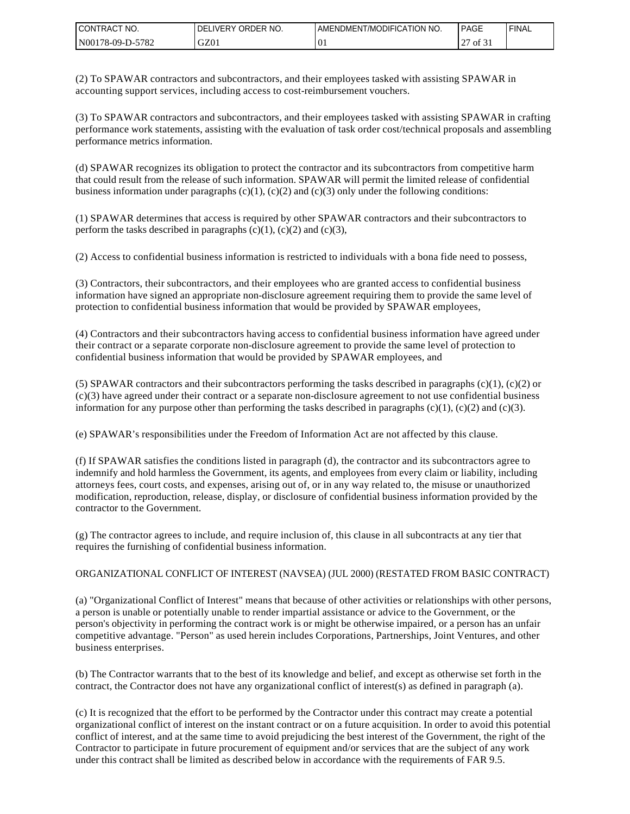| CONTRAC <sub>1</sub><br>NO.<br>$\sim$ | ORDER NO.<br><b>DELIVERY</b> | ENDMENT/MODIFICATION NO.<br>AME | <b>PAGE</b>                                               | 'FINAL |
|---------------------------------------|------------------------------|---------------------------------|-----------------------------------------------------------|--------|
| -5782<br>  N00178-09-D-5'             | GZ01                         | $\curvearrowright$<br>. v.      | $\sim$ $\sim$<br>$\sim$<br>$\prime$ of 3.<br>. <u>.</u> . |        |

(2) To SPAWAR contractors and subcontractors, and their employees tasked with assisting SPAWAR in accounting support services, including access to cost-reimbursement vouchers.

(3) To SPAWAR contractors and subcontractors, and their employees tasked with assisting SPAWAR in crafting performance work statements, assisting with the evaluation of task order cost/technical proposals and assembling performance metrics information.

(d) SPAWAR recognizes its obligation to protect the contractor and its subcontractors from competitive harm that could result from the release of such information. SPAWAR will permit the limited release of confidential business information under paragraphs  $(c)(1)$ ,  $(c)(2)$  and  $(c)(3)$  only under the following conditions:

(1) SPAWAR determines that access is required by other SPAWAR contractors and their subcontractors to perform the tasks described in paragraphs  $(c)(1)$ ,  $(c)(2)$  and  $(c)(3)$ ,

(2) Access to confidential business information is restricted to individuals with a bona fide need to possess,

(3) Contractors, their subcontractors, and their employees who are granted access to confidential business information have signed an appropriate non-disclosure agreement requiring them to provide the same level of protection to confidential business information that would be provided by SPAWAR employees,

(4) Contractors and their subcontractors having access to confidential business information have agreed under their contract or a separate corporate non-disclosure agreement to provide the same level of protection to confidential business information that would be provided by SPAWAR employees, and

(5) SPAWAR contractors and their subcontractors performing the tasks described in paragraphs  $(c)(1)$ ,  $(c)(2)$  or  $(c)(3)$  have agreed under their contract or a separate non-disclosure agreement to not use confidential business information for any purpose other than performing the tasks described in paragraphs  $(c)(1)$ ,  $(c)(2)$  and  $(c)(3)$ .

(e) SPAWAR's responsibilities under the Freedom of Information Act are not affected by this clause.

(f) If SPAWAR satisfies the conditions listed in paragraph (d), the contractor and its subcontractors agree to indemnify and hold harmless the Government, its agents, and employees from every claim or liability, including attorneys fees, court costs, and expenses, arising out of, or in any way related to, the misuse or unauthorized modification, reproduction, release, display, or disclosure of confidential business information provided by the contractor to the Government.

(g) The contractor agrees to include, and require inclusion of, this clause in all subcontracts at any tier that requires the furnishing of confidential business information.

#### ORGANIZATIONAL CONFLICT OF INTEREST (NAVSEA) (JUL 2000) (RESTATED FROM BASIC CONTRACT)

(a) "Organizational Conflict of Interest" means that because of other activities or relationships with other persons, a person is unable or potentially unable to render impartial assistance or advice to the Government, or the person's objectivity in performing the contract work is or might be otherwise impaired, or a person has an unfair competitive advantage. "Person" as used herein includes Corporations, Partnerships, Joint Ventures, and other business enterprises.

(b) The Contractor warrants that to the best of its knowledge and belief, and except as otherwise set forth in the contract, the Contractor does not have any organizational conflict of interest(s) as defined in paragraph (a).

(c) It is recognized that the effort to be performed by the Contractor under this contract may create a potential organizational conflict of interest on the instant contract or on a future acquisition. In order to avoid this potential conflict of interest, and at the same time to avoid prejudicing the best interest of the Government, the right of the Contractor to participate in future procurement of equipment and/or services that are the subject of any work under this contract shall be limited as described below in accordance with the requirements of FAR 9.5.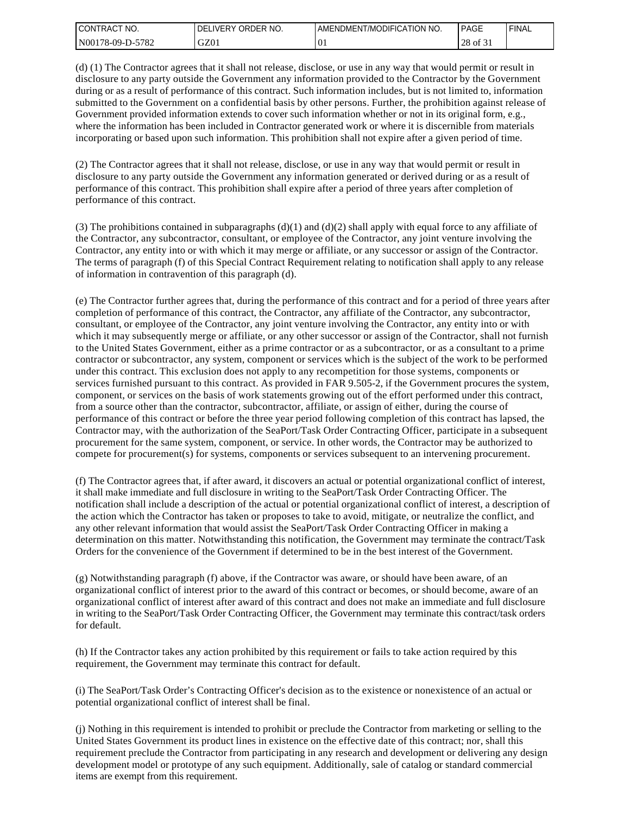| I CONTRACT<br>'NO. | ORDER NO.<br><b>DELIVERY</b> | I AMENDMENT/MODIFICATION NO. | <b>PAGE</b>                  | 'FINAL |
|--------------------|------------------------------|------------------------------|------------------------------|--------|
| N00178-09-D-5782   | GZ01                         | $^{10}$                      | $\sim$ $\sim$<br>28<br>of 31 |        |

(d) (1) The Contractor agrees that it shall not release, disclose, or use in any way that would permit or result in disclosure to any party outside the Government any information provided to the Contractor by the Government during or as a result of performance of this contract. Such information includes, but is not limited to, information submitted to the Government on a confidential basis by other persons. Further, the prohibition against release of Government provided information extends to cover such information whether or not in its original form, e.g., where the information has been included in Contractor generated work or where it is discernible from materials incorporating or based upon such information. This prohibition shall not expire after a given period of time.

(2) The Contractor agrees that it shall not release, disclose, or use in any way that would permit or result in disclosure to any party outside the Government any information generated or derived during or as a result of performance of this contract. This prohibition shall expire after a period of three years after completion of performance of this contract.

(3) The prohibitions contained in subparagraphs  $(d)(1)$  and  $(d)(2)$  shall apply with equal force to any affiliate of the Contractor, any subcontractor, consultant, or employee of the Contractor, any joint venture involving the Contractor, any entity into or with which it may merge or affiliate, or any successor or assign of the Contractor. The terms of paragraph (f) of this Special Contract Requirement relating to notification shall apply to any release of information in contravention of this paragraph (d).

(e) The Contractor further agrees that, during the performance of this contract and for a period of three years after completion of performance of this contract, the Contractor, any affiliate of the Contractor, any subcontractor, consultant, or employee of the Contractor, any joint venture involving the Contractor, any entity into or with which it may subsequently merge or affiliate, or any other successor or assign of the Contractor, shall not furnish to the United States Government, either as a prime contractor or as a subcontractor, or as a consultant to a prime contractor or subcontractor, any system, component or services which is the subject of the work to be performed under this contract. This exclusion does not apply to any recompetition for those systems, components or services furnished pursuant to this contract. As provided in FAR 9.505-2, if the Government procures the system, component, or services on the basis of work statements growing out of the effort performed under this contract, from a source other than the contractor, subcontractor, affiliate, or assign of either, during the course of performance of this contract or before the three year period following completion of this contract has lapsed, the Contractor may, with the authorization of the SeaPort/Task Order Contracting Officer, participate in a subsequent procurement for the same system, component, or service. In other words, the Contractor may be authorized to compete for procurement(s) for systems, components or services subsequent to an intervening procurement.

(f) The Contractor agrees that, if after award, it discovers an actual or potential organizational conflict of interest, it shall make immediate and full disclosure in writing to the SeaPort/Task Order Contracting Officer. The notification shall include a description of the actual or potential organizational conflict of interest, a description of the action which the Contractor has taken or proposes to take to avoid, mitigate, or neutralize the conflict, and any other relevant information that would assist the SeaPort/Task Order Contracting Officer in making a determination on this matter. Notwithstanding this notification, the Government may terminate the contract/Task Orders for the convenience of the Government if determined to be in the best interest of the Government.

(g) Notwithstanding paragraph (f) above, if the Contractor was aware, or should have been aware, of an organizational conflict of interest prior to the award of this contract or becomes, or should become, aware of an organizational conflict of interest after award of this contract and does not make an immediate and full disclosure in writing to the SeaPort/Task Order Contracting Officer, the Government may terminate this contract/task orders for default.

(h) If the Contractor takes any action prohibited by this requirement or fails to take action required by this requirement, the Government may terminate this contract for default.

(i) The SeaPort/Task Order's Contracting Officer's decision as to the existence or nonexistence of an actual or potential organizational conflict of interest shall be final.

(j) Nothing in this requirement is intended to prohibit or preclude the Contractor from marketing or selling to the United States Government its product lines in existence on the effective date of this contract; nor, shall this requirement preclude the Contractor from participating in any research and development or delivering any design development model or prototype of any such equipment. Additionally, sale of catalog or standard commercial items are exempt from this requirement.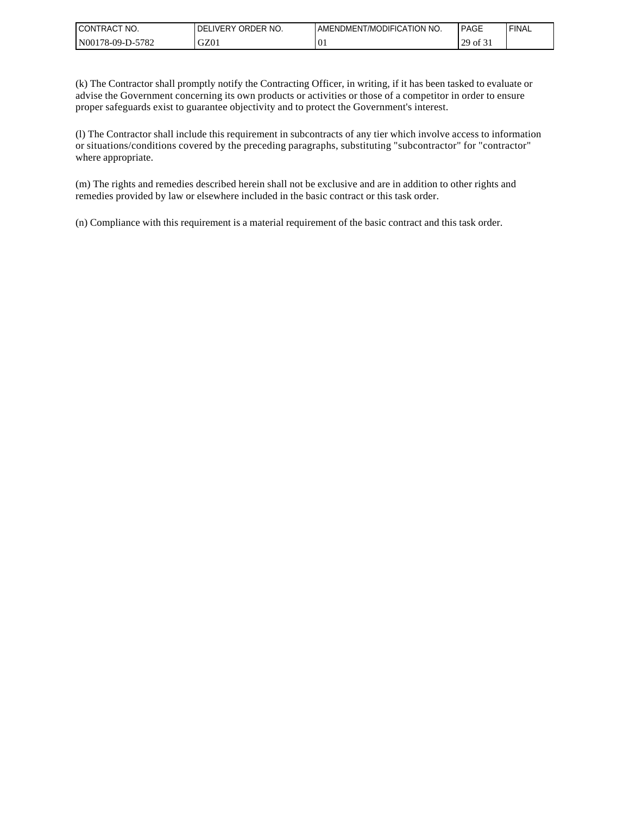| <b>CONTRACT</b><br>NO. | ORDER NO.<br><b>IVERY</b><br>DEL | AMENDMENT/MODIFICATION NO. | <b>PAGE</b>                         | 'FINAL |
|------------------------|----------------------------------|----------------------------|-------------------------------------|--------|
| -5782<br>N00178-09-D-5 | GZ01                             | 01                         | $\sim$ $\sim$<br>29<br>of 31<br>ر پ |        |

(k) The Contractor shall promptly notify the Contracting Officer, in writing, if it has been tasked to evaluate or advise the Government concerning its own products or activities or those of a competitor in order to ensure proper safeguards exist to guarantee objectivity and to protect the Government's interest.

(l) The Contractor shall include this requirement in subcontracts of any tier which involve access to information or situations/conditions covered by the preceding paragraphs, substituting "subcontractor" for "contractor" where appropriate.

(m) The rights and remedies described herein shall not be exclusive and are in addition to other rights and remedies provided by law or elsewhere included in the basic contract or this task order.

(n) Compliance with this requirement is a material requirement of the basic contract and this task order.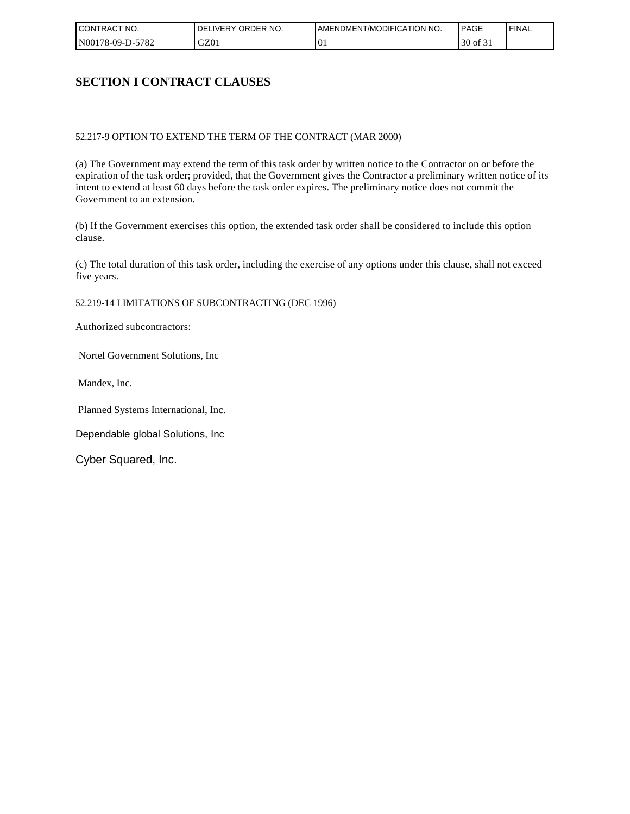| I CONTRACT<br>NO. | ORDER NO.<br><b>DELIVERY</b> | AMENDMENT/MODIFICATION NO. | <b>PAGE</b>                  | ' FINAL |
|-------------------|------------------------------|----------------------------|------------------------------|---------|
| N00178-09-D-5782  | GZ01                         | $\Omega$<br>νı             | $\sim$ $\sim$<br>30<br>of 31 |         |

### **SECTION I CONTRACT CLAUSES**

#### 52.217-9 OPTION TO EXTEND THE TERM OF THE CONTRACT (MAR 2000)

(a) The Government may extend the term of this task order by written notice to the Contractor on or before the expiration of the task order; provided, that the Government gives the Contractor a preliminary written notice of its intent to extend at least 60 days before the task order expires. The preliminary notice does not commit the Government to an extension.

(b) If the Government exercises this option, the extended task order shall be considered to include this option clause.

(c) The total duration of this task order, including the exercise of any options under this clause, shall not exceed five years.

52.219-14 LIMITATIONS OF SUBCONTRACTING (DEC 1996)

Authorized subcontractors:

Nortel Government Solutions, Inc

Mandex, Inc.

Planned Systems International, Inc.

Dependable global Solutions, Inc

Cyber Squared, Inc.